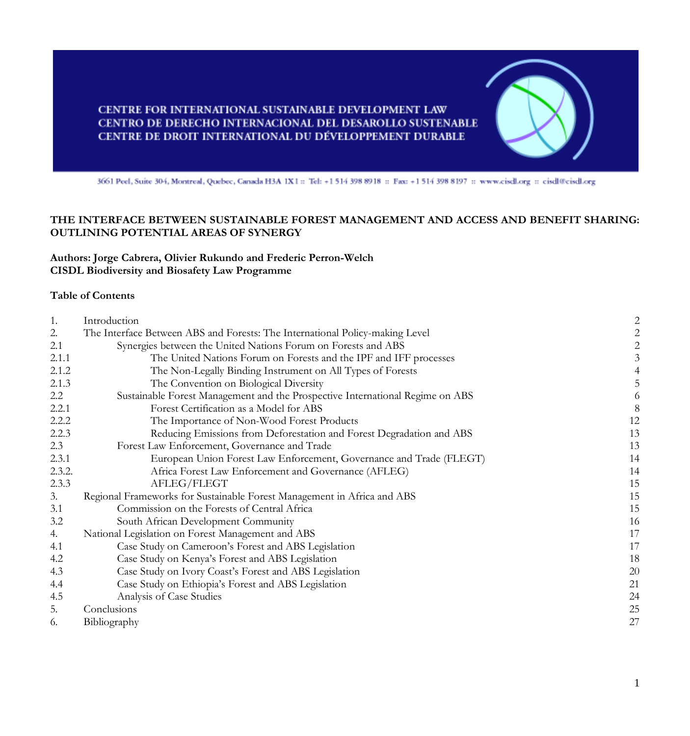# CENTRE FOR INTERNATIONAL SUSTAINABLE DEVELOPMENT LAW CENTRO DE DERECHO INTERNACIONAL DEL DESAROLLO SUSTENABLE CENTRE DE DROIT INTERNATIONAL DU DÉVELOPPEMENT DURABLE

3661 Peel, Suite 304, Montreal, Quebec, Canada H3A 1X1 :: Tel: +1 514 398 8918 :: Fax: +1 514 398 8197 :: www.ciscll.org :: cisdl@cisdl.org

# **THE INTERFACE BETWEEN SUSTAINABLE FOREST MANAGEMENT AND ACCESS AND BENEFIT SHARING: OUTLINING POTENTIAL AREAS OF SYNERGY**

**Authors: Jorge Cabrera, Olivier Rukundo and Frederic Perron-Welch CISDL Biodiversity and Biosafety Law Programme**

#### **Table of Contents**

| 1.     | Introduction                                                                  | $\overline{c}$ |
|--------|-------------------------------------------------------------------------------|----------------|
| 2.     | The Interface Between ABS and Forests: The International Policy-making Level  | 2              |
| 2.1    | Synergies between the United Nations Forum on Forests and ABS                 | $\overline{c}$ |
| 2.1.1  | The United Nations Forum on Forests and the IPF and IFF processes             | $\mathfrak{Z}$ |
| 2.1.2  | The Non-Legally Binding Instrument on All Types of Forests                    | 4              |
| 2.1.3  | The Convention on Biological Diversity                                        | 5              |
| 2.2    | Sustainable Forest Management and the Prospective International Regime on ABS | 6              |
| 2.2.1  | Forest Certification as a Model for ABS                                       | 8              |
| 2.2.2  | The Importance of Non-Wood Forest Products                                    | 12             |
| 2.2.3  | Reducing Emissions from Deforestation and Forest Degradation and ABS          | 13             |
| 2.3    | Forest Law Enforcement, Governance and Trade                                  | 13             |
| 2.3.1  | European Union Forest Law Enforcement, Governance and Trade (FLEGT)           | 14             |
| 2.3.2. | Africa Forest Law Enforcement and Governance (AFLEG)                          | 14             |
| 2.3.3  | AFLEG/FLEGT                                                                   | 15             |
| 3.     | Regional Frameworks for Sustainable Forest Management in Africa and ABS       | 15             |
| 3.1    | Commission on the Forests of Central Africa                                   | 15             |
| 3.2    | South African Development Community                                           | 16             |
| 4.     | National Legislation on Forest Management and ABS                             | 17             |
| 4.1    | Case Study on Cameroon's Forest and ABS Legislation                           | 17             |
| 4.2    | Case Study on Kenya's Forest and ABS Legislation                              | 18             |
| 4.3    | Case Study on Ivory Coast's Forest and ABS Legislation                        | 20             |
| 4.4    | Case Study on Ethiopia's Forest and ABS Legislation                           | 21             |
| 4.5    | Analysis of Case Studies                                                      | 24             |
| 5.     | Conclusions                                                                   | 25             |
| 6.     | Bibliography                                                                  | 27             |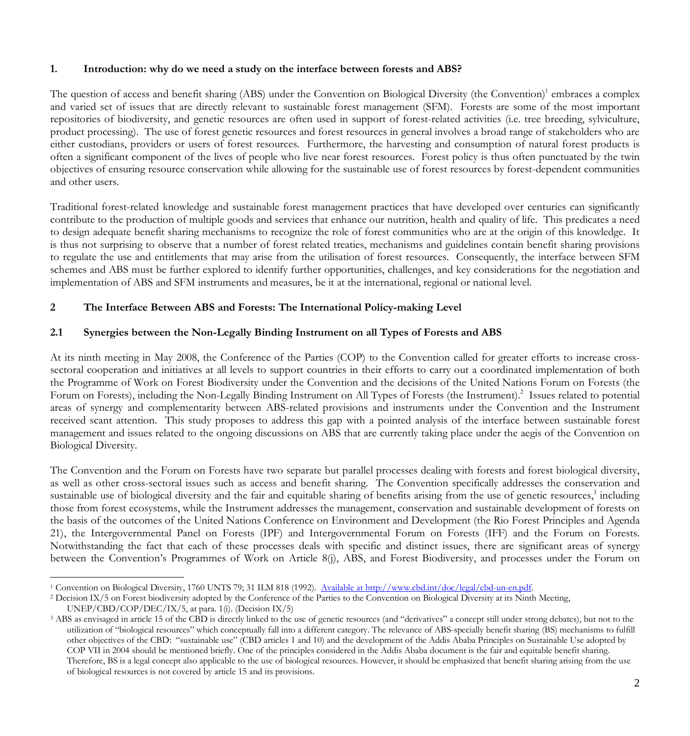### **1. Introduction: why do we need a study on the interface between forests and ABS?**

The question of access and benefit sharing (ABS) under the Convention on Biological Diversity (the Convention)<sup>1</sup> embraces a complex and varied set of issues that are directly relevant to sustainable forest management (SFM). Forests are some of the most important repositories of biodiversity, and genetic resources are often used in support of forest-related activities (i.e. tree breeding, sylviculture, product processing). The use of forest genetic resources and forest resources in general involves a broad range of stakeholders who are either custodians, providers or users of forest resources. Furthermore, the harvesting and consumption of natural forest products is often a significant component of the lives of people who live near forest resources. Forest policy is thus often punctuated by the twin objectives of ensuring resource conservation while allowing for the sustainable use of forest resources by forest-dependent communities and other users.

Traditional forest-related knowledge and sustainable forest management practices that have developed over centuries can significantly contribute to the production of multiple goods and services that enhance our nutrition, health and quality of life. This predicates a need to design adequate benefit sharing mechanisms to recognize the role of forest communities who are at the origin of this knowledge. It is thus not surprising to observe that a number of forest related treaties, mechanisms and guidelines contain benefit sharing provisions to regulate the use and entitlements that may arise from the utilisation of forest resources. Consequently, the interface between SFM schemes and ABS must be further explored to identify further opportunities, challenges, and key considerations for the negotiation and implementation of ABS and SFM instruments and measures, be it at the international, regional or national level.

# **2 The Interface Between ABS and Forests: The International Policy-making Level**

## **2.1 Synergies between the Non-Legally Binding Instrument on all Types of Forests and ABS**

At its ninth meeting in May 2008, the Conference of the Parties (COP) to the Convention called for greater efforts to increase crosssectoral cooperation and initiatives at all levels to support countries in their efforts to carry out a coordinated implementation of both the Programme of Work on Forest Biodiversity under the Convention and the decisions of the United Nations Forum on Forests (the Forum on Forests), including the Non-Legally Binding Instrument on All Types of Forests (the Instrument).<sup>2</sup> Issues related to potential areas of synergy and complementarity between ABS-related provisions and instruments under the Convention and the Instrument received scant attention. This study proposes to address this gap with a pointed analysis of the interface between sustainable forest management and issues related to the ongoing discussions on ABS that are currently taking place under the aegis of the Convention on Biological Diversity.

The Convention and the Forum on Forests have two separate but parallel processes dealing with forests and forest biological diversity, as well as other cross-sectoral issues such as access and benefit sharing. The Convention specifically addresses the conservation and sustainable use of biological diversity and the fair and equitable sharing of benefits arising from the use of genetic resources,<sup>3</sup> including those from forest ecosystems, while the Instrument addresses the management, conservation and sustainable development of forests on the basis of the outcomes of the United Nations Conference on Environment and Development (the Rio Forest Principles and Agenda 21), the Intergovernmental Panel on Forests (IPF) and Intergovernmental Forum on Forests (IFF) and the Forum on Forests. Notwithstanding the fact that each of these processes deals with specific and distinct issues, there are significant areas of synergy between the Convention's Programmes of Work on Article 8(j), ABS, and Forest Biodiversity, and processes under the Forum on

 <sup>1</sup> Convention on Biological Diversity, 1760 UNTS 79; 31 ILM 818 (1992). Available at http://www.cbd.int/doc/legal/cbd-un-en.pdf.

<sup>&</sup>lt;sup>2</sup> Decision IX/5 on Forest biodiversity adopted by the Conference of the Parties to the Convention on Biological Diversity at its Ninth Meeting, UNEP/CBD/COP/DEC/IX/5, at para. 1(i). (Decision IX/5)

<sup>&</sup>lt;sup>3</sup> ABS as envisaged in article 15 of the CBD is directly linked to the use of genetic resources (and "derivatives" a concept still under strong debates), but not to the utilization of "biological resources" which conceptually fall into a different category. The relevance of ABS-specially benefit sharing (BS) mechanisms to fulfill other objectives of the CBD: "sustainable use" (CBD articles 1 and 10) and the development of the Addis Ababa Principles on Sustainable Use adopted by COP VII in 2004 should be mentioned briefly. One of the principles considered in the Addis Ababa document is the fair and equitable benefit sharing. Therefore, BS is a legal concept also applicable to the use of biological resources. However, it should be emphasized that benefit sharing arising from the use of biological resources is not covered by article 15 and its provisions.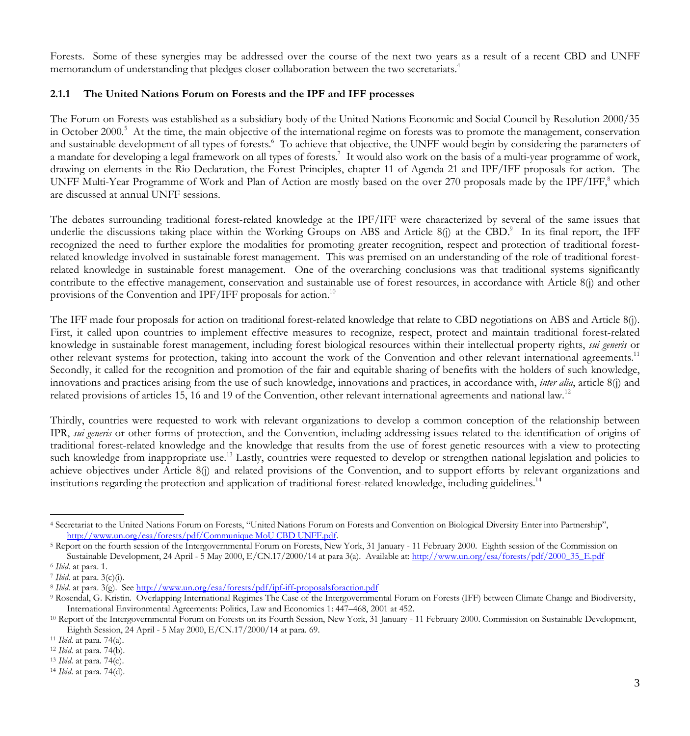Forests. Some of these synergies may be addressed over the course of the next two years as a result of a recent CBD and UNFF memorandum of understanding that pledges closer collaboration between the two secretariats.<sup>4</sup>

## **2.1.1 The United Nations Forum on Forests and the IPF and IFF processes**

The Forum on Forests was established as a subsidiary body of the United Nations Economic and Social Council by Resolution 2000/35 in October 2000.<sup>5</sup> At the time, the main objective of the international regime on forests was to promote the management, conservation and sustainable development of all types of forests.<sup>6</sup> To achieve that objective, the UNFF would begin by considering the parameters of a mandate for developing a legal framework on all types of forests.<sup>7</sup> It would also work on the basis of a multi-year programme of work, drawing on elements in the Rio Declaration, the Forest Principles, chapter 11 of Agenda 21 and IPF/IFF proposals for action. The UNFF Multi-Year Programme of Work and Plan of Action are mostly based on the over 270 proposals made by the  $IPF/IFF$ , which are discussed at annual UNFF sessions.

The debates surrounding traditional forest-related knowledge at the IPF/IFF were characterized by several of the same issues that underlie the discussions taking place within the Working Groups on ABS and Article 8(j) at the CBD.<sup>9</sup> In its final report, the IFF recognized the need to further explore the modalities for promoting greater recognition, respect and protection of traditional forestrelated knowledge involved in sustainable forest management. This was premised on an understanding of the role of traditional forestrelated knowledge in sustainable forest management. One of the overarching conclusions was that traditional systems significantly contribute to the effective management, conservation and sustainable use of forest resources, in accordance with Article 8(j) and other provisions of the Convention and IPF/IFF proposals for action.<sup>10</sup>

The IFF made four proposals for action on traditional forest-related knowledge that relate to CBD negotiations on ABS and Article 8(j). First, it called upon countries to implement effective measures to recognize, respect, protect and maintain traditional forest-related knowledge in sustainable forest management, including forest biological resources within their intellectual property rights, *sui generis* or other relevant systems for protection, taking into account the work of the Convention and other relevant international agreements.<sup>11</sup> Secondly, it called for the recognition and promotion of the fair and equitable sharing of benefits with the holders of such knowledge, innovations and practices arising from the use of such knowledge, innovations and practices, in accordance with, *inter alia*, article 8(j) and related provisions of articles 15, 16 and 19 of the Convention, other relevant international agreements and national law.<sup>12</sup>

Thirdly, countries were requested to work with relevant organizations to develop a common conception of the relationship between IPR, *sui generis* or other forms of protection, and the Convention, including addressing issues related to the identification of origins of traditional forest-related knowledge and the knowledge that results from the use of forest genetic resources with a view to protecting such knowledge from inappropriate use.<sup>13</sup> Lastly, countries were requested to develop or strengthen national legislation and policies to achieve objectives under Article 8(j) and related provisions of the Convention, and to support efforts by relevant organizations and institutions regarding the protection and application of traditional forest-related knowledge, including guidelines.<sup>14</sup>

 <sup>4</sup> Secretariat to the United Nations Forum on Forests, "United Nations Forum on Forests and Convention on Biological Diversity Enter into Partnership", http://www.un.org/esa/forests/pdf/Communique MoU CBD UNFF.pdf.

<sup>5</sup> Report on the fourth session of the Intergovernmental Forum on Forests, New York, 31 January - 11 February 2000. Eighth session of the Commission on Sustainable Development, 24 April - 5 May 2000, E/CN.17/2000/14 at para 3(a). Available at: http://www.un.org/esa/forests/pdf/2000\_35\_E.pdf

<sup>6</sup> *Ibid*. at para. 1.

<sup>&</sup>lt;sup>7</sup> *Ibid.* at para. 3(c)(i).<br><sup>8</sup> *Ibid.* at para. 3(g). See <u>http://www.un.org/esa/forests/pdf/ipf-iff-proposalsforaction.pdf</u>

<sup>9</sup> Rosendal, G. Kristin. Overlapping International Regimes The Case of the Intergovernmental Forum on Forests (IFF) between Climate Change and Biodiversity, International Environmental Agreements: Politics, Law and Economics 1: 447–468, 2001 at 452.<br><sup>10</sup> Report of the Intergovernmental Forum on Forests on its Fourth Session, New York, 31 January - 11 February 2000. Commission

Eighth Session, 24 April - 5 May 2000, E/CN.17/2000/14 at para. 69.

<sup>11</sup> *Ibid*. at para. 74(a).

<sup>12</sup> *Ibid*. at para. 74(b).

<sup>13</sup> *Ibid*. at para. 74(c).

<sup>14</sup> *Ibid*. at para. 74(d).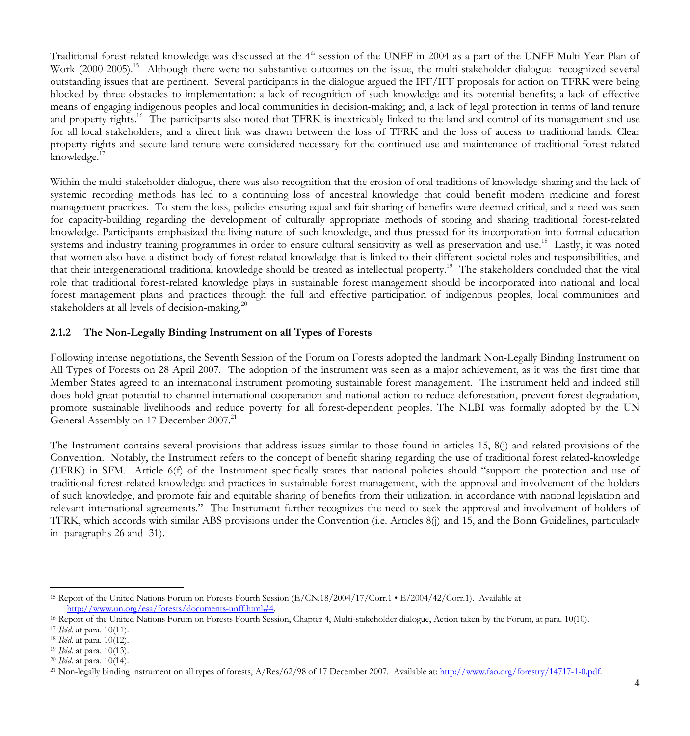Traditional forest-related knowledge was discussed at the 4<sup>th</sup> session of the UNFF in 2004 as a part of the UNFF Multi-Year Plan of Work (2000-2005).<sup>15</sup> Although there were no substantive outcomes on the issue, the multi-stakeholder dialogue recognized several outstanding issues that are pertinent. Several participants in the dialogue argued the IPF/IFF proposals for action on TFRK were being blocked by three obstacles to implementation: a lack of recognition of such knowledge and its potential benefits; a lack of effective means of engaging indigenous peoples and local communities in decision-making; and, a lack of legal protection in terms of land tenure and property rights.<sup>16</sup> The participants also noted that TFRK is inextricably linked to the land and control of its management and use for all local stakeholders, and a direct link was drawn between the loss of TFRK and the loss of access to traditional lands. Clear property rights and secure land tenure were considered necessary for the continued use and maintenance of traditional forest-related knowledge. $1$ 

Within the multi-stakeholder dialogue, there was also recognition that the erosion of oral traditions of knowledge-sharing and the lack of systemic recording methods has led to a continuing loss of ancestral knowledge that could benefit modern medicine and forest management practices. To stem the loss, policies ensuring equal and fair sharing of benefits were deemed critical, and a need was seen for capacity-building regarding the development of culturally appropriate methods of storing and sharing traditional forest-related knowledge. Participants emphasized the living nature of such knowledge, and thus pressed for its incorporation into formal education systems and industry training programmes in order to ensure cultural sensitivity as well as preservation and use.<sup>18</sup> Lastly, it was noted that women also have a distinct body of forest-related knowledge that is linked to their different societal roles and responsibilities, and that their intergenerational traditional knowledge should be treated as intellectual property.<sup>19</sup> The stakeholders concluded that the vital role that traditional forest-related knowledge plays in sustainable forest management should be incorporated into national and local forest management plans and practices through the full and effective participation of indigenous peoples, local communities and stakeholders at all levels of decision-making. $^{20}$ 

### **2.1.2 The Non-Legally Binding Instrument on all Types of Forests**

Following intense negotiations, the Seventh Session of the Forum on Forests adopted the landmark Non-Legally Binding Instrument on All Types of Forests on 28 April 2007. The adoption of the instrument was seen as a major achievement, as it was the first time that Member States agreed to an international instrument promoting sustainable forest management. The instrument held and indeed still does hold great potential to channel international cooperation and national action to reduce deforestation, prevent forest degradation, promote sustainable livelihoods and reduce poverty for all forest-dependent peoples. The NLBI was formally adopted by the UN General Assembly on 17 December 2007.<sup>21</sup>

The Instrument contains several provisions that address issues similar to those found in articles 15, 8(j) and related provisions of the Convention. Notably, the Instrument refers to the concept of benefit sharing regarding the use of traditional forest related-knowledge (TFRK) in SFM. Article 6(f) of the Instrument specifically states that national policies should "support the protection and use of traditional forest-related knowledge and practices in sustainable forest management, with the approval and involvement of the holders of such knowledge, and promote fair and equitable sharing of benefits from their utilization, in accordance with national legislation and relevant international agreements." The Instrument further recognizes the need to seek the approval and involvement of holders of TFRK, which accords with similar ABS provisions under the Convention (i.e. Articles 8(j) and 15, and the Bonn Guidelines, particularly in paragraphs 26 and 31).

 <sup>15</sup> Report of the United Nations Forum on Forests Fourth Session (E/CN.18/2004/17/Corr.1 • E/2004/42/Corr.1). Available at http://www.un.org/esa/forests/documents-unff.html#4.

<sup>16</sup> Report of the United Nations Forum on Forests Fourth Session, Chapter 4, Multi-stakeholder dialogue, Action taken by the Forum, at para. 10(10).

<sup>17</sup> *Ibid*. at para. 10(11).

<sup>18</sup> *Ibid*. at para. 10(12).

<sup>19</sup> *Ibid*. at para. 10(13).

<sup>20</sup> *Ibid*. at para. 10(14).

<sup>&</sup>lt;sup>21</sup> Non-legally binding instrument on all types of forests, A/Res/62/98 of 17 December 2007. Available at: http://www.fao.org/forestry/14717-1-0.pdf.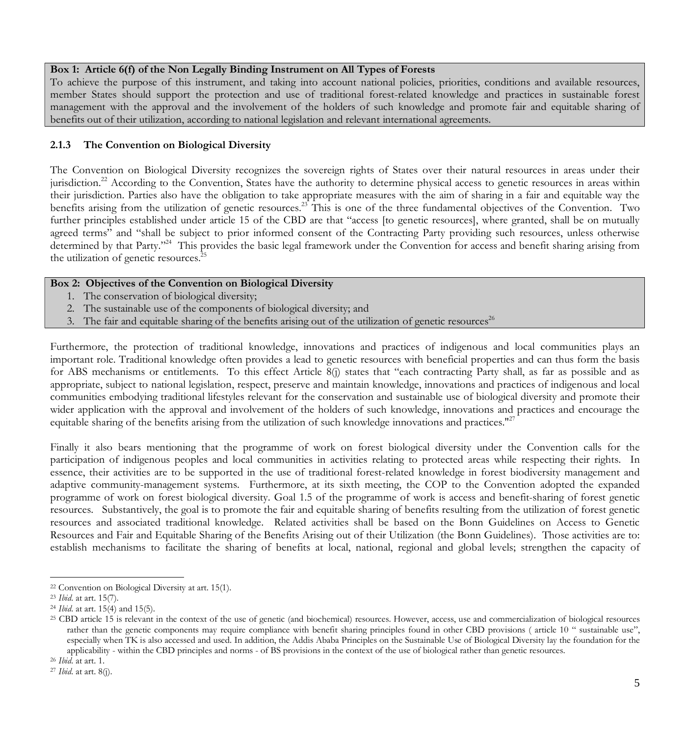#### **Box 1: Article 6(f) of the Non Legally Binding Instrument on All Types of Forests**

To achieve the purpose of this instrument, and taking into account national policies, priorities, conditions and available resources, member States should support the protection and use of traditional forest-related knowledge and practices in sustainable forest management with the approval and the involvement of the holders of such knowledge and promote fair and equitable sharing of benefits out of their utilization, according to national legislation and relevant international agreements.

#### **2.1.3 The Convention on Biological Diversity**

The Convention on Biological Diversity recognizes the sovereign rights of States over their natural resources in areas under their jurisdiction.<sup>22</sup> According to the Convention, States have the authority to determine physical access to genetic resources in areas within their jurisdiction. Parties also have the obligation to take appropriate measures with the aim of sharing in a fair and equitable way the benefits arising from the utilization of genetic resources.<sup>23</sup> This is one of the three fundamental objectives of the Convention. Two further principles established under article 15 of the CBD are that "access [to genetic resources], where granted, shall be on mutually agreed terms" and "shall be subject to prior informed consent of the Contracting Party providing such resources, unless otherwise determined by that Party."<sup>24</sup> This provides the basic legal framework under the Convention for access and benefit sharing arising from the utilization of genetic resources.<sup>25</sup>

#### **Box 2: Objectives of the Convention on Biological Diversity**

- 1. The conservation of biological diversity;
- 2. The sustainable use of the components of biological diversity; and
- 3. The fair and equitable sharing of the benefits arising out of the utilization of genetic resources<sup>26</sup>

Furthermore, the protection of traditional knowledge, innovations and practices of indigenous and local communities plays an important role. Traditional knowledge often provides a lead to genetic resources with beneficial properties and can thus form the basis for ABS mechanisms or entitlements. To this effect Article 8(j) states that "each contracting Party shall, as far as possible and as appropriate, subject to national legislation, respect, preserve and maintain knowledge, innovations and practices of indigenous and local communities embodying traditional lifestyles relevant for the conservation and sustainable use of biological diversity and promote their wider application with the approval and involvement of the holders of such knowledge, innovations and practices and encourage the equitable sharing of the benefits arising from the utilization of such knowledge innovations and practices."<sup>27</sup>

Finally it also bears mentioning that the programme of work on forest biological diversity under the Convention calls for the participation of indigenous peoples and local communities in activities relating to protected areas while respecting their rights. In essence, their activities are to be supported in the use of traditional forest-related knowledge in forest biodiversity management and adaptive community-management systems. Furthermore, at its sixth meeting, the COP to the Convention adopted the expanded programme of work on forest biological diversity. Goal 1.5 of the programme of work is access and benefit-sharing of forest genetic resources. Substantively, the goal is to promote the fair and equitable sharing of benefits resulting from the utilization of forest genetic resources and associated traditional knowledge. Related activities shall be based on the Bonn Guidelines on Access to Genetic Resources and Fair and Equitable Sharing of the Benefits Arising out of their Utilization (the Bonn Guidelines). Those activities are to: establish mechanisms to facilitate the sharing of benefits at local, national, regional and global levels; strengthen the capacity of

 <sup>22</sup> Convention on Biological Diversity at art. 15(1).

<sup>23</sup> *Ibid*. at art. 15(7).

<sup>&</sup>lt;sup>24</sup> *Ibid*. at art. 15(4) and 15(5).<br><sup>25</sup> CBD article 15 is relevant in the context of the use of genetic (and biochemical) resources. However, access, use and commercialization of biological resources rather than the genetic components may require compliance with benefit sharing principles found in other CBD provisions (article 10 " sustainable use", especially when TK is also accessed and used. In addition, the Addis Ababa Principles on the Sustainable Use of Biological Diversity lay the foundation for the applicability - within the CBD principles and norms - of BS provisions in the context of the use of biological rather than genetic resources.

<sup>26</sup> *Ibid*. at art. 1.

<sup>27</sup> *Ibid*. at art. 8(j).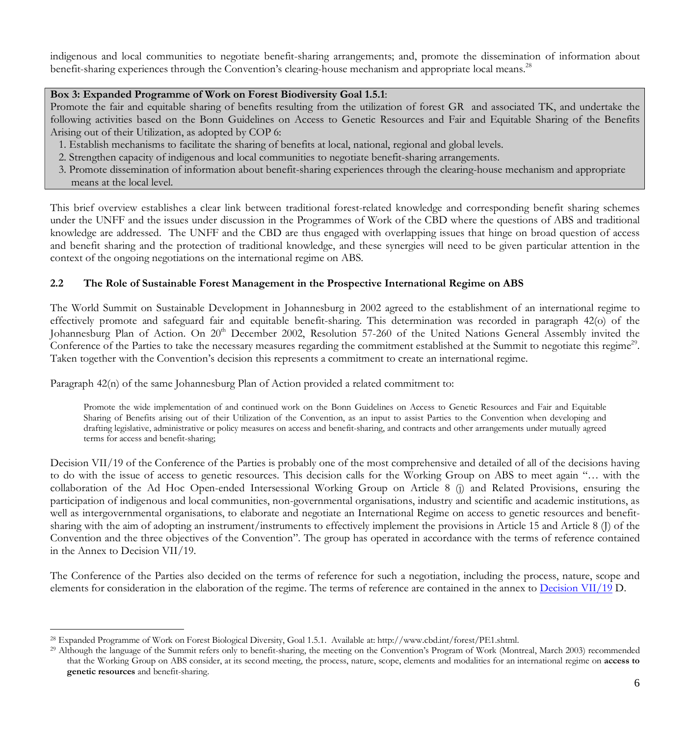indigenous and local communities to negotiate benefit-sharing arrangements; and, promote the dissemination of information about benefit-sharing experiences through the Convention's clearing-house mechanism and appropriate local means.<sup>28</sup>

## **Box 3: Expanded Programme of Work on Forest Biodiversity Goal 1.5.1**:

Promote the fair and equitable sharing of benefits resulting from the utilization of forest GR and associated TK, and undertake the following activities based on the Bonn Guidelines on Access to Genetic Resources and Fair and Equitable Sharing of the Benefits Arising out of their Utilization, as adopted by COP 6:

- 1. Establish mechanisms to facilitate the sharing of benefits at local, national, regional and global levels.
- 2. Strengthen capacity of indigenous and local communities to negotiate benefit-sharing arrangements.
- 3. Promote dissemination of information about benefit-sharing experiences through the clearing-house mechanism and appropriate means at the local level.

This brief overview establishes a clear link between traditional forest-related knowledge and corresponding benefit sharing schemes under the UNFF and the issues under discussion in the Programmes of Work of the CBD where the questions of ABS and traditional knowledge are addressed. The UNFF and the CBD are thus engaged with overlapping issues that hinge on broad question of access and benefit sharing and the protection of traditional knowledge, and these synergies will need to be given particular attention in the context of the ongoing negotiations on the international regime on ABS.

## **2.2 The Role of Sustainable Forest Management in the Prospective International Regime on ABS**

The World Summit on Sustainable Development in Johannesburg in 2002 agreed to the establishment of an international regime to effectively promote and safeguard fair and equitable benefit-sharing. This determination was recorded in paragraph 42(o) of the Johannesburg Plan of Action. On 20<sup>th</sup> December 2002, Resolution 57-260 of the United Nations General Assembly invited the Conference of the Parties to take the necessary measures regarding the commitment established at the Summit to negotiate this regime<sup>29</sup>. Taken together with the Convention's decision this represents a commitment to create an international regime.

Paragraph 42(n) of the same Johannesburg Plan of Action provided a related commitment to:

Promote the wide implementation of and continued work on the Bonn Guidelines on Access to Genetic Resources and Fair and Equitable Sharing of Benefits arising out of their Utilization of the Convention, as an input to assist Parties to the Convention when developing and drafting legislative, administrative or policy measures on access and benefit-sharing, and contracts and other arrangements under mutually agreed terms for access and benefit-sharing;

Decision VII/19 of the Conference of the Parties is probably one of the most comprehensive and detailed of all of the decisions having to do with the issue of access to genetic resources. This decision calls for the Working Group on ABS to meet again "… with the collaboration of the Ad Hoc Open-ended Intersessional Working Group on Article 8 (j) and Related Provisions, ensuring the participation of indigenous and local communities, non-governmental organisations, industry and scientific and academic institutions, as well as intergovernmental organisations, to elaborate and negotiate an International Regime on access to genetic resources and benefitsharing with the aim of adopting an instrument/instruments to effectively implement the provisions in Article 15 and Article 8 (J) of the Convention and the three objectives of the Convention". The group has operated in accordance with the terms of reference contained in the Annex to Decision VII/19.

The Conference of the Parties also decided on the terms of reference for such a negotiation, including the process, nature, scope and elements for consideration in the elaboration of the regime. The terms of reference are contained in the annex to Decision VII/19 D.

 <sup>28</sup> Expanded Programme of Work on Forest Biological Diversity, Goal 1.5.1. Available at: http://www.cbd.int/forest/PE1.shtml.

<sup>&</sup>lt;sup>29</sup> Although the language of the Summit refers only to benefit-sharing, the meeting on the Convention's Program of Work (Montreal, March 2003) recommended that the Working Group on ABS consider, at its second meeting, the process, nature, scope, elements and modalities for an international regime on **access to genetic resources** and benefit-sharing.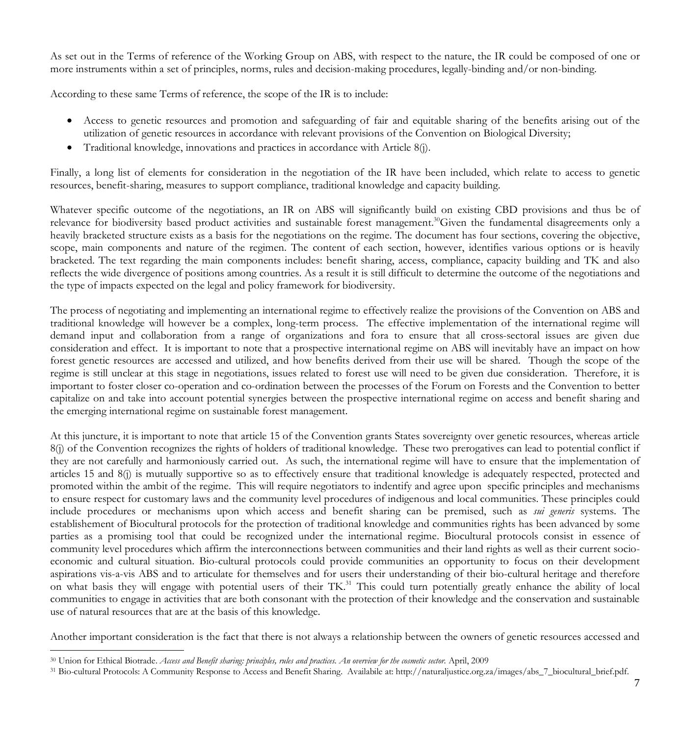As set out in the Terms of reference of the Working Group on ABS, with respect to the nature, the IR could be composed of one or more instruments within a set of principles, norms, rules and decision-making procedures, legally-binding and/or non-binding.

According to these same Terms of reference, the scope of the IR is to include:

- Access to genetic resources and promotion and safeguarding of fair and equitable sharing of the benefits arising out of the utilization of genetic resources in accordance with relevant provisions of the Convention on Biological Diversity;
- Traditional knowledge, innovations and practices in accordance with Article 8(j).

Finally, a long list of elements for consideration in the negotiation of the IR have been included, which relate to access to genetic resources, benefit-sharing, measures to support compliance, traditional knowledge and capacity building.

Whatever specific outcome of the negotiations, an IR on ABS will significantly build on existing CBD provisions and thus be of relevance for biodiversity based product activities and sustainable forest management.<sup>30</sup>Given the fundamental disagreements only a heavily bracketed structure exists as a basis for the negotiations on the regime. The document has four sections, covering the objective, scope, main components and nature of the regimen. The content of each section, however, identifies various options or is heavily bracketed. The text regarding the main components includes: benefit sharing, access, compliance, capacity building and TK and also reflects the wide divergence of positions among countries. As a result it is still difficult to determine the outcome of the negotiations and the type of impacts expected on the legal and policy framework for biodiversity.

The process of negotiating and implementing an international regime to effectively realize the provisions of the Convention on ABS and traditional knowledge will however be a complex, long-term process. The effective implementation of the international regime will demand input and collaboration from a range of organizations and fora to ensure that all cross-sectoral issues are given due consideration and effect. It is important to note that a prospective international regime on ABS will inevitably have an impact on how forest genetic resources are accessed and utilized, and how benefits derived from their use will be shared. Though the scope of the regime is still unclear at this stage in negotiations, issues related to forest use will need to be given due consideration. Therefore, it is important to foster closer co-operation and co-ordination between the processes of the Forum on Forests and the Convention to better capitalize on and take into account potential synergies between the prospective international regime on access and benefit sharing and the emerging international regime on sustainable forest management.

At this juncture, it is important to note that article 15 of the Convention grants States sovereignty over genetic resources, whereas article 8(j) of the Convention recognizes the rights of holders of traditional knowledge. These two prerogatives can lead to potential conflict if they are not carefully and harmoniously carried out. As such, the international regime will have to ensure that the implementation of articles 15 and 8(j) is mutually supportive so as to effectively ensure that traditional knowledge is adequately respected, protected and promoted within the ambit of the regime. This will require negotiators to indentify and agree upon specific principles and mechanisms to ensure respect for customary laws and the community level procedures of indigenous and local communities. These principles could include procedures or mechanisms upon which access and benefit sharing can be premised, such as *sui generis* systems. The establishement of Biocultural protocols for the protection of traditional knowledge and communities rights has been advanced by some parties as a promising tool that could be recognized under the international regime. Biocultural protocols consist in essence of community level procedures which affirm the interconnections between communities and their land rights as well as their current socioeconomic and cultural situation. Bio-cultural protocols could provide communities an opportunity to focus on their development aspirations vis-a-vis ABS and to articulate for themselves and for users their understanding of their bio-cultural heritage and therefore on what basis they will engage with potential users of their TK.<sup>31</sup> This could turn potentially greatly enhance the ability of local communities to engage in activities that are both consonant with the protection of their knowledge and the conservation and sustainable use of natural resources that are at the basis of this knowledge.

Another important consideration is the fact that there is not always a relationship between the owners of genetic resources accessed and

 <sup>30</sup> Union for Ethical Biotrade. *Access and Benefit sharing: principles, rules and practices. An overview for the cosmetic sector.* April, 2009

<sup>&</sup>lt;sup>31</sup> Bio-cultural Protocols: A Community Response to Access and Benefit Sharing. Availabile at: http://naturaljustice.org.za/images/abs\_7\_biocultural\_brief.pdf.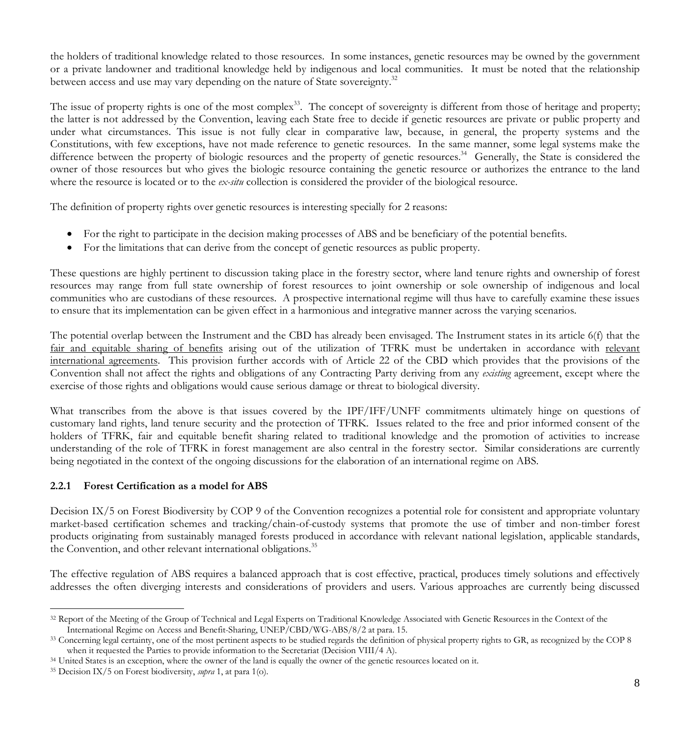the holders of traditional knowledge related to those resources. In some instances, genetic resources may be owned by the government or a private landowner and traditional knowledge held by indigenous and local communities. It must be noted that the relationship between access and use may vary depending on the nature of State sovereignty.<sup>32</sup>

The issue of property rights is one of the most complex<sup>33</sup>. The concept of sovereignty is different from those of heritage and property; the latter is not addressed by the Convention, leaving each State free to decide if genetic resources are private or public property and under what circumstances. This issue is not fully clear in comparative law, because, in general, the property systems and the Constitutions, with few exceptions, have not made reference to genetic resources. In the same manner, some legal systems make the difference between the property of biologic resources and the property of genetic resources.<sup>34</sup> Generally, the State is considered the owner of those resources but who gives the biologic resource containing the genetic resource or authorizes the entrance to the land where the resource is located or to the *ex-situ* collection is considered the provider of the biological resource.

The definition of property rights over genetic resources is interesting specially for 2 reasons:

- For the right to participate in the decision making processes of ABS and be beneficiary of the potential benefits.
- For the limitations that can derive from the concept of genetic resources as public property.

These questions are highly pertinent to discussion taking place in the forestry sector, where land tenure rights and ownership of forest resources may range from full state ownership of forest resources to joint ownership or sole ownership of indigenous and local communities who are custodians of these resources. A prospective international regime will thus have to carefully examine these issues to ensure that its implementation can be given effect in a harmonious and integrative manner across the varying scenarios.

The potential overlap between the Instrument and the CBD has already been envisaged. The Instrument states in its article 6(f) that the fair and equitable sharing of benefits arising out of the utilization of TFRK must be undertaken in accordance with relevant international agreements. This provision further accords with of Article 22 of the CBD which provides that the provisions of the Convention shall not affect the rights and obligations of any Contracting Party deriving from any *existing* agreement, except where the exercise of those rights and obligations would cause serious damage or threat to biological diversity.

What transcribes from the above is that issues covered by the IPF/IFF/UNFF commitments ultimately hinge on questions of customary land rights, land tenure security and the protection of TFRK. Issues related to the free and prior informed consent of the holders of TFRK, fair and equitable benefit sharing related to traditional knowledge and the promotion of activities to increase understanding of the role of TFRK in forest management are also central in the forestry sector. Similar considerations are currently being negotiated in the context of the ongoing discussions for the elaboration of an international regime on ABS.

# **2.2.1 Forest Certification as a model for ABS**

Decision IX/5 on Forest Biodiversity by COP 9 of the Convention recognizes a potential role for consistent and appropriate voluntary market-based certification schemes and tracking/chain-of-custody systems that promote the use of timber and non-timber forest products originating from sustainably managed forests produced in accordance with relevant national legislation, applicable standards, the Convention, and other relevant international obligations.<sup>35</sup>

The effective regulation of ABS requires a balanced approach that is cost effective, practical, produces timely solutions and effectively addresses the often diverging interests and considerations of providers and users. Various approaches are currently being discussed

<sup>&</sup>lt;sup>32</sup> Report of the Meeting of the Group of Technical and Legal Experts on Traditional Knowledge Associated with Genetic Resources in the Context of the International Regime on Access and Benefit-Sharing, UNEP/CBD/WG-ABS/8/2 at para. 15.

<sup>&</sup>lt;sup>33</sup> Concerning legal certainty, one of the most pertinent aspects to be studied regards the definition of physical property rights to GR, as recognized by the COP 8 when it requested the Parties to provide information to the Secretariat (Decision VIII/4 A).

<sup>&</sup>lt;sup>34</sup> United States is an exception, where the owner of the land is equally the owner of the genetic resources located on it.

<sup>35</sup> Decision IX/5 on Forest biodiversity, *supra* 1, at para 1(o).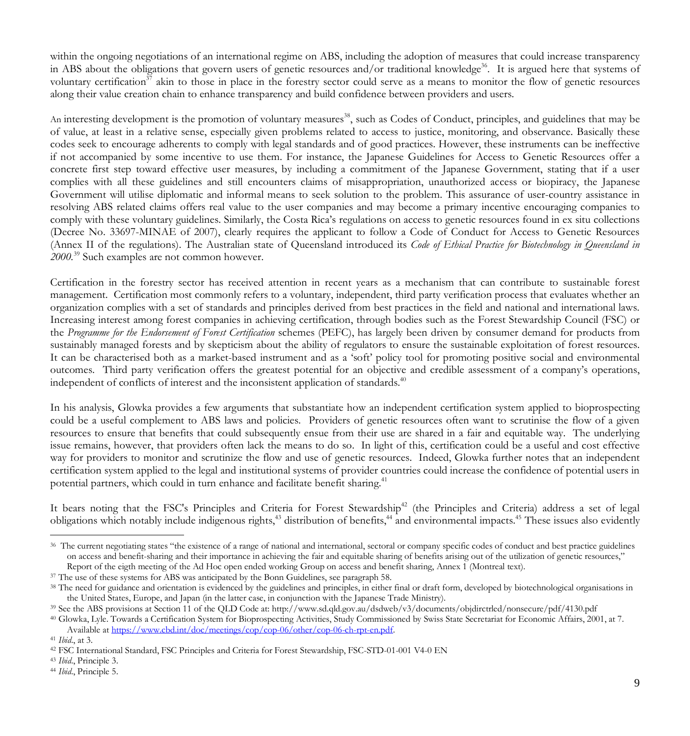within the ongoing negotiations of an international regime on ABS, including the adoption of measures that could increase transparency in ABS about the obligations that govern users of genetic resources and/or traditional knowledge<sup>36</sup>. It is argued here that systems of voluntary certification<sup>37</sup> akin to those in place in the forestry sector could serve as a means to monitor the flow of genetic resources along their value creation chain to enhance transparency and build confidence between providers and users.

An interesting development is the promotion of voluntary measures<sup>38</sup>, such as Codes of Conduct, principles, and guidelines that may be of value, at least in a relative sense, especially given problems related to access to justice, monitoring, and observance. Basically these codes seek to encourage adherents to comply with legal standards and of good practices. However, these instruments can be ineffective if not accompanied by some incentive to use them. For instance, the Japanese Guidelines for Access to Genetic Resources offer a concrete first step toward effective user measures, by including a commitment of the Japanese Government, stating that if a user complies with all these guidelines and still encounters claims of misappropriation, unauthorized access or biopiracy, the Japanese Government will utilise diplomatic and informal means to seek solution to the problem. This assurance of user-country assistance in resolving ABS related claims offers real value to the user companies and may become a primary incentive encouraging companies to comply with these voluntary guidelines. Similarly, the Costa Rica's regulations on access to genetic resources found in ex situ collections (Decree No. 33697-MINAE of 2007), clearly requires the applicant to follow a Code of Conduct for Access to Genetic Resources (Annex II of the regulations). The Australian state of Queensland introduced its *Code of Ethical Practice for Biotechnology in Queensland in 2000.*<sup>39</sup> Such examples are not common however.

Certification in the forestry sector has received attention in recent years as a mechanism that can contribute to sustainable forest management. Certification most commonly refers to a voluntary, independent, third party verification process that evaluates whether an organization complies with a set of standards and principles derived from best practices in the field and national and international laws. Increasing interest among forest companies in achieving certification, through bodies such as the Forest Stewardship Council (FSC) or the *Programme for the Endorsement of Forest Certification* schemes (PEFC), has largely been driven by consumer demand for products from sustainably managed forests and by skepticism about the ability of regulators to ensure the sustainable exploitation of forest resources. It can be characterised both as a market-based instrument and as a 'soft' policy tool for promoting positive social and environmental outcomes. Third party verification offers the greatest potential for an objective and credible assessment of a company's operations, independent of conflicts of interest and the inconsistent application of standards.<sup>40</sup>

In his analysis, Glowka provides a few arguments that substantiate how an independent certification system applied to bioprospecting could be a useful complement to ABS laws and policies. Providers of genetic resources often want to scrutinise the flow of a given resources to ensure that benefits that could subsequently ensue from their use are shared in a fair and equitable way. The underlying issue remains, however, that providers often lack the means to do so. In light of this, certification could be a useful and cost effective way for providers to monitor and scrutinize the flow and use of genetic resources. Indeed, Glowka further notes that an independent certification system applied to the legal and institutional systems of provider countries could increase the confidence of potential users in potential partners, which could in turn enhance and facilitate benefit sharing.<sup>41</sup>

It bears noting that the FSC's Principles and Criteria for Forest Stewardship<sup>42</sup> (the Principles and Criteria) address a set of legal obligations which notably include indigenous rights,<sup>43</sup> distribution of benefits,<sup>44</sup> and environmental impacts.<sup>45</sup> These issues also evidently

<sup>43</sup> *Ibid*., Principle 3.

 <sup>36</sup> The current negotiating states "the existence of a range of national and international, sectoral or company specific codes of conduct and best practice guidelines on access and benefit-sharing and their importance in achieving the fair and equitable sharing of benefits arising out of the utilization of genetic resources," Report of the eigth meeting of the Ad Hoc open ended working Group on access and benefit sharing, Annex 1 (Montreal text). 37 The use of these systems for ABS was anticipated by the Bonn Guidelines, see paragraph 58.

<sup>&</sup>lt;sup>38</sup> The need for guidance and orientation is evidenced by the guidelines and principles, in either final or draft form, developed by biotechnological organisations in the United States, Europe, and Japan (in the latter case, in conjunction with the Japanese Trade Ministry).

<sup>39</sup> See the ABS provisions at Section 11 of the QLD Code at: http://www.sd.qld.gov.au/dsdweb/v3/documents/objdirctrled/nonsecure/pdf/4130.pdf

<sup>40</sup> Glowka, Lyle. Towards a Certification System for Bioprospecting Activities, Study Commissioned by Swiss State Secretariat for Economic Affairs, 2001, at 7. Available at https://www.cbd.int/doc/meetings/cop/cop-06/other/cop-06-ch-rpt-en.pdf.

<sup>41</sup> *Ibid*., at 3.

<sup>42</sup> FSC International Standard, FSC Principles and Criteria for Forest Stewardship, FSC-STD-01-001 V4-0 EN

<sup>44</sup> *Ibid*., Principle 5.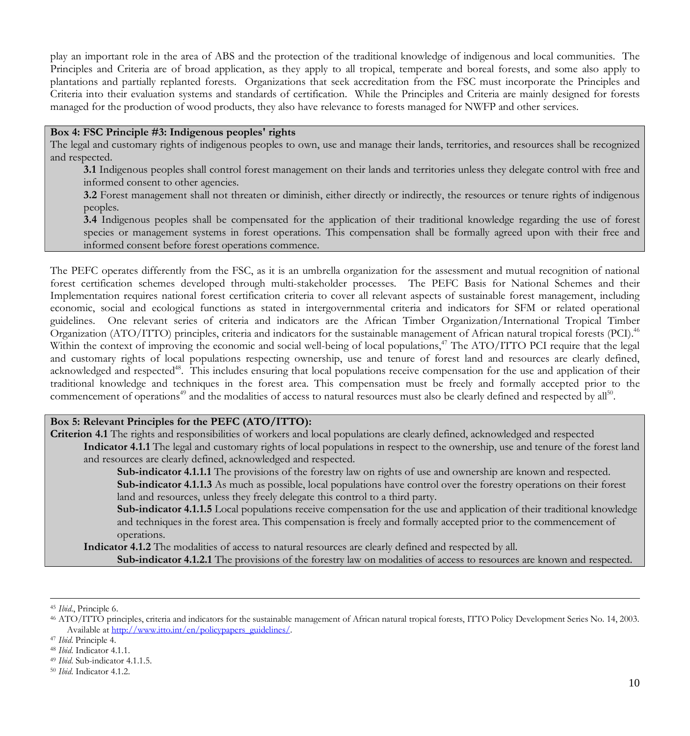play an important role in the area of ABS and the protection of the traditional knowledge of indigenous and local communities. The Principles and Criteria are of broad application, as they apply to all tropical, temperate and boreal forests, and some also apply to plantations and partially replanted forests. Organizations that seek accreditation from the FSC must incorporate the Principles and Criteria into their evaluation systems and standards of certification. While the Principles and Criteria are mainly designed for forests managed for the production of wood products, they also have relevance to forests managed for NWFP and other services.

#### **Box 4: FSC Principle #3: Indigenous peoples' rights**

The legal and customary rights of indigenous peoples to own, use and manage their lands, territories, and resources shall be recognized and respected.

**3.1** Indigenous peoples shall control forest management on their lands and territories unless they delegate control with free and informed consent to other agencies.

**3.2** Forest management shall not threaten or diminish, either directly or indirectly, the resources or tenure rights of indigenous peoples.

**3.4** Indigenous peoples shall be compensated for the application of their traditional knowledge regarding the use of forest species or management systems in forest operations. This compensation shall be formally agreed upon with their free and informed consent before forest operations commence.

The PEFC operates differently from the FSC, as it is an umbrella organization for the assessment and mutual recognition of national forest certification schemes developed through multi-stakeholder processes. The PEFC Basis for National Schemes and their Implementation requires national forest certification criteria to cover all relevant aspects of sustainable forest management, including economic, social and ecological functions as stated in intergovernmental criteria and indicators for SFM or related operational guidelines. One relevant series of criteria and indicators are the African Timber Organization/International Tropical Timber Organization (ATO/ITTO) principles, criteria and indicators for the sustainable management of African natural tropical forests (PCI).46 Within the context of improving the economic and social well-being of local populations,<sup>47</sup> The ATO/ITTO PCI require that the legal and customary rights of local populations respecting ownership, use and tenure of forest land and resources are clearly defined, acknowledged and respected<sup>48</sup>. This includes ensuring that local populations receive compensation for the use and application of their traditional knowledge and techniques in the forest area. This compensation must be freely and formally accepted prior to the commencement of operations<sup>49</sup> and the modalities of access to natural resources must also be clearly defined and respected by all<sup>50</sup>.

### **Box 5: Relevant Principles for the PEFC (ATO/ITTO):**

**Criterion 4.1** The rights and responsibilities of workers and local populations are clearly defined, acknowledged and respected **Indicator 4.1.1** The legal and customary rights of local populations in respect to the ownership, use and tenure of the forest land and resources are clearly defined, acknowledged and respected.

**Sub-indicator 4.1.1.1** The provisions of the forestry law on rights of use and ownership are known and respected. **Sub-indicator 4.1.1.3** As much as possible, local populations have control over the forestry operations on their forest land and resources, unless they freely delegate this control to a third party.

**Sub-indicator 4.1.1.5** Local populations receive compensation for the use and application of their traditional knowledge and techniques in the forest area. This compensation is freely and formally accepted prior to the commencement of operations.

**Indicator 4.1.2** The modalities of access to natural resources are clearly defined and respected by all. **Sub-indicator 4.1.2.1** The provisions of the forestry law on modalities of access to resources are known and respected.

 <sup>45</sup> *Ibid*., Principle 6.

<sup>46</sup> ATO/ITTO principles, criteria and indicators for the sustainable management of African natural tropical forests, ITTO Policy Development Series No. 14, 2003. Available at http://www.itto.int/en/policypapers\_guidelines/.

<sup>47</sup> *Ibid*. Principle 4.

<sup>48</sup> *Ibid*. Indicator 4.1.1.

<sup>49</sup> *Ibid*. Sub-indicator 4.1.1.5.

<sup>50</sup> *Ibid*. Indicator 4.1.2.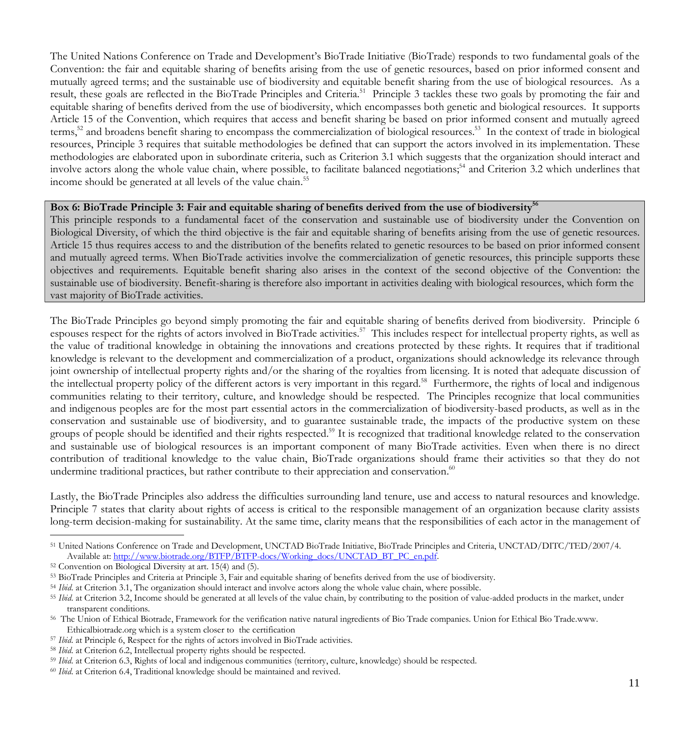The United Nations Conference on Trade and Development's BioTrade Initiative (BioTrade) responds to two fundamental goals of the Convention: the fair and equitable sharing of benefits arising from the use of genetic resources, based on prior informed consent and mutually agreed terms; and the sustainable use of biodiversity and equitable benefit sharing from the use of biological resources. As a result, these goals are reflected in the BioTrade Principles and Criteria.<sup>51</sup> Principle 3 tackles these two goals by promoting the fair and equitable sharing of benefits derived from the use of biodiversity, which encompasses both genetic and biological resources. It supports Article 15 of the Convention, which requires that access and benefit sharing be based on prior informed consent and mutually agreed terms,<sup>52</sup> and broadens benefit sharing to encompass the commercialization of biological resources.<sup>53</sup> In the context of trade in biological resources, Principle 3 requires that suitable methodologies be defined that can support the actors involved in its implementation. These methodologies are elaborated upon in subordinate criteria, such as Criterion 3.1 which suggests that the organization should interact and involve actors along the whole value chain, where possible, to facilitate balanced negotiations;<sup>54</sup> and Criterion 3.2 which underlines that income should be generated at all levels of the value chain.<sup>55</sup>

#### Box 6: BioTrade Principle 3: Fair and equitable sharing of benefits derived from the use of biodiversity<sup>56</sup>

This principle responds to a fundamental facet of the conservation and sustainable use of biodiversity under the Convention on Biological Diversity, of which the third objective is the fair and equitable sharing of benefits arising from the use of genetic resources. Article 15 thus requires access to and the distribution of the benefits related to genetic resources to be based on prior informed consent and mutually agreed terms. When BioTrade activities involve the commercialization of genetic resources, this principle supports these objectives and requirements. Equitable benefit sharing also arises in the context of the second objective of the Convention: the sustainable use of biodiversity. Benefit-sharing is therefore also important in activities dealing with biological resources, which form the vast majority of BioTrade activities.

The BioTrade Principles go beyond simply promoting the fair and equitable sharing of benefits derived from biodiversity. Principle 6 espouses respect for the rights of actors involved in BioTrade activities.<sup>57</sup> This includes respect for intellectual property rights, as well as the value of traditional knowledge in obtaining the innovations and creations protected by these rights. It requires that if traditional knowledge is relevant to the development and commercialization of a product, organizations should acknowledge its relevance through joint ownership of intellectual property rights and/or the sharing of the royalties from licensing. It is noted that adequate discussion of the intellectual property policy of the different actors is very important in this regard.<sup>58</sup> Furthermore, the rights of local and indigenous communities relating to their territory, culture, and knowledge should be respected. The Principles recognize that local communities and indigenous peoples are for the most part essential actors in the commercialization of biodiversity-based products, as well as in the conservation and sustainable use of biodiversity, and to guarantee sustainable trade, the impacts of the productive system on these groups of people should be identified and their rights respected.<sup>59</sup> It is recognized that traditional knowledge related to the conservation and sustainable use of biological resources is an important component of many BioTrade activities. Even when there is no direct contribution of traditional knowledge to the value chain, BioTrade organizations should frame their activities so that they do not undermine traditional practices, but rather contribute to their appreciation and conservation. $60$ 

Lastly, the BioTrade Principles also address the difficulties surrounding land tenure, use and access to natural resources and knowledge. Principle 7 states that clarity about rights of access is critical to the responsible management of an organization because clarity assists long-term decision-making for sustainability. At the same time, clarity means that the responsibilities of each actor in the management of

 <sup>51</sup> United Nations Conference on Trade and Development, UNCTAD BioTrade Initiative, BioTrade Principles and Criteria, UNCTAD/DITC/TED/2007/4. Available at: http://www.biotrade.org/BTFP/BTFP-docs/Working\_docs/UNCTAD\_BT\_PC\_en.pdf.

<sup>52</sup> Convention on Biological Diversity at art. 15(4) and (5).

<sup>53</sup> BioTrade Principles and Criteria at Principle 3, Fair and equitable sharing of benefits derived from the use of biodiversity.

<sup>&</sup>lt;sup>54</sup> *Ibid.* at Criterion 3.1, The organization should interact and involve actors along the whole value chain, where possible.

<sup>&</sup>lt;sup>55</sup> *Ibid.* at Criterion 3.2, Income should be generated at all levels of the value chain, by contributing to the position of value-added products in the market, under transparent conditions.

<sup>56</sup> The Union of Ethical Biotrade, Framework for the verification native natural ingredients of Bio Trade companies. Union for Ethical Bio Trade.www. Ethicalbiotrade.org which is a system closer to the certification

<sup>57</sup> *Ibid*. at Principle 6, Respect for the rights of actors involved in BioTrade activities.

<sup>58</sup> *Ibid*. at Criterion 6.2, Intellectual property rights should be respected.

<sup>&</sup>lt;sup>59</sup> *Ibid.* at Criterion 6.3, Rights of local and indigenous communities (territory, culture, knowledge) should be respected.

<sup>60</sup> *Ibid*. at Criterion 6.4, Traditional knowledge should be maintained and revived.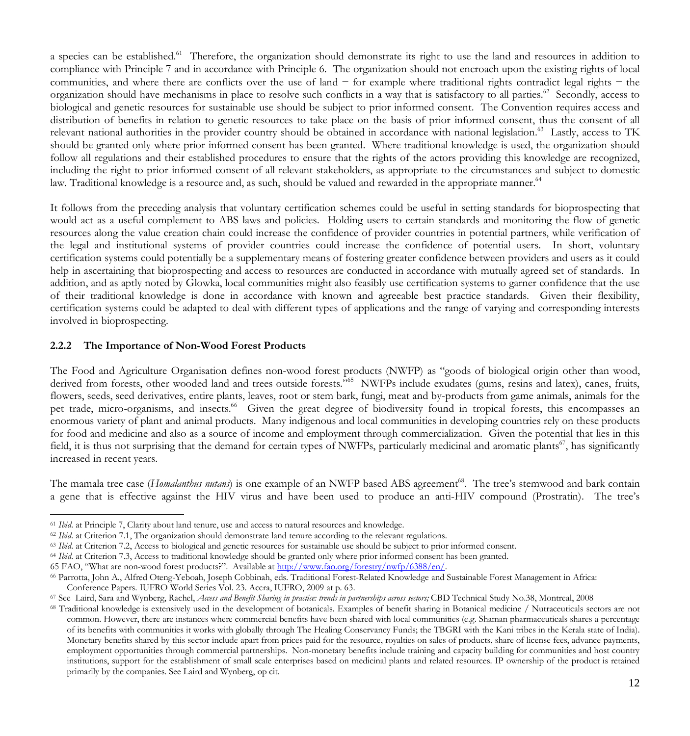a species can be established.<sup>61</sup> Therefore, the organization should demonstrate its right to use the land and resources in addition to compliance with Principle 7 and in accordance with Principle 6. The organization should not encroach upon the existing rights of local communities, and where there are conflicts over the use of land − for example where traditional rights contradict legal rights − the organization should have mechanisms in place to resolve such conflicts in a way that is satisfactory to all parties.<sup>62</sup> Secondly, access to biological and genetic resources for sustainable use should be subject to prior informed consent. The Convention requires access and distribution of benefits in relation to genetic resources to take place on the basis of prior informed consent, thus the consent of all relevant national authorities in the provider country should be obtained in accordance with national legislation.<sup>63</sup> Lastly, access to TK should be granted only where prior informed consent has been granted.Where traditional knowledge is used, the organization should follow all regulations and their established procedures to ensure that the rights of the actors providing this knowledge are recognized, including the right to prior informed consent of all relevant stakeholders, as appropriate to the circumstances and subject to domestic law. Traditional knowledge is a resource and, as such, should be valued and rewarded in the appropriate manner.<sup>64</sup>

It follows from the preceding analysis that voluntary certification schemes could be useful in setting standards for bioprospecting that would act as a useful complement to ABS laws and policies. Holding users to certain standards and monitoring the flow of genetic resources along the value creation chain could increase the confidence of provider countries in potential partners, while verification of the legal and institutional systems of provider countries could increase the confidence of potential users. In short, voluntary certification systems could potentially be a supplementary means of fostering greater confidence between providers and users as it could help in ascertaining that bioprospecting and access to resources are conducted in accordance with mutually agreed set of standards. In addition, and as aptly noted by Glowka, local communities might also feasibly use certification systems to garner confidence that the use of their traditional knowledge is done in accordance with known and agreeable best practice standards. Given their flexibility, certification systems could be adapted to deal with different types of applications and the range of varying and corresponding interests involved in bioprospecting.

#### **2.2.2 The Importance of Non-Wood Forest Products**

The Food and Agriculture Organisation defines non-wood forest products (NWFP) as "goods of biological origin other than wood, derived from forests, other wooded land and trees outside forests."<sup>65</sup> NWFPs include exudates (gums, resins and latex), canes, fruits, flowers, seeds, seed derivatives, entire plants, leaves, root or stem bark, fungi, meat and by-products from game animals, animals for the pet trade, micro-organisms, and insects.<sup>66</sup> Given the great degree of biodiversity found in tropical forests, this encompasses an enormous variety of plant and animal products. Many indigenous and local communities in developing countries rely on these products for food and medicine and also as a source of income and employment through commercialization. Given the potential that lies in this field, it is thus not surprising that the demand for certain types of NWFPs, particularly medicinal and aromatic plants<sup>67</sup>, has significantly increased in recent years.

The mamala tree case (*Homalanthus nutans*) is one example of an NWFP based ABS agreement<sup>68</sup>. The tree's stemwood and bark contain a gene that is effective against the HIV virus and have been used to produce an anti-HIV compound (Prostratin). The tree's

65 FAO, "What are non-wood forest products?". Available at http://www.fao.org/forestry/nwfp/6388/en/.

 <sup>61</sup> *Ibid*. at Principle 7, Clarity about land tenure, use and access to natural resources and knowledge.

<sup>&</sup>lt;sup>62</sup> *Ibid.* at Criterion 7.1, The organization should demonstrate land tenure according to the relevant regulations.

<sup>&</sup>lt;sup>63</sup> *Ibid.* at Criterion 7.2, Access to biological and genetic resources for sustainable use should be subject to prior informed consent.

<sup>64</sup> *Ibid*. at Criterion 7.3, Access to traditional knowledge should be granted only where prior informed consent has been granted.

<sup>66</sup> Parrotta, John A., Alfred Oteng-Yeboah, Joseph Cobbinah, eds. Traditional Forest-Related Knowledge and Sustainable Forest Management in Africa: Conference Papers. IUFRO World Series Vol. 23. Accra, IUFRO, 2009 at p. 63.

<sup>67</sup> See Laird, Sara and Wynberg, Rachel, *Access and Benefit Sharing in practice: trends in partnerships across sectors;* CBD Technical Study No.38, Montreal, 2008

<sup>68</sup> Traditional knowledge is extensively used in the development of botanicals. Examples of benefit sharing in Botanical medicine / Nutraceuticals sectors are not common. However, there are instances where commercial benefits have been shared with local communities (e.g. Shaman pharmaceuticals shares a percentage of its benefits with communities it works with globally through The Healing Conservancy Funds; the TBGRI with the Kani tribes in the Kerala state of India). Monetary benefits shared by this sector include apart from prices paid for the resource, royalties on sales of products, share of license fees, advance payments, employment opportunities through commercial partnerships. Non-monetary benefits include training and capacity building for communities and host country institutions, support for the establishment of small scale enterprises based on medicinal plants and related resources. IP ownership of the product is retained primarily by the companies. See Laird and Wynberg, op cit.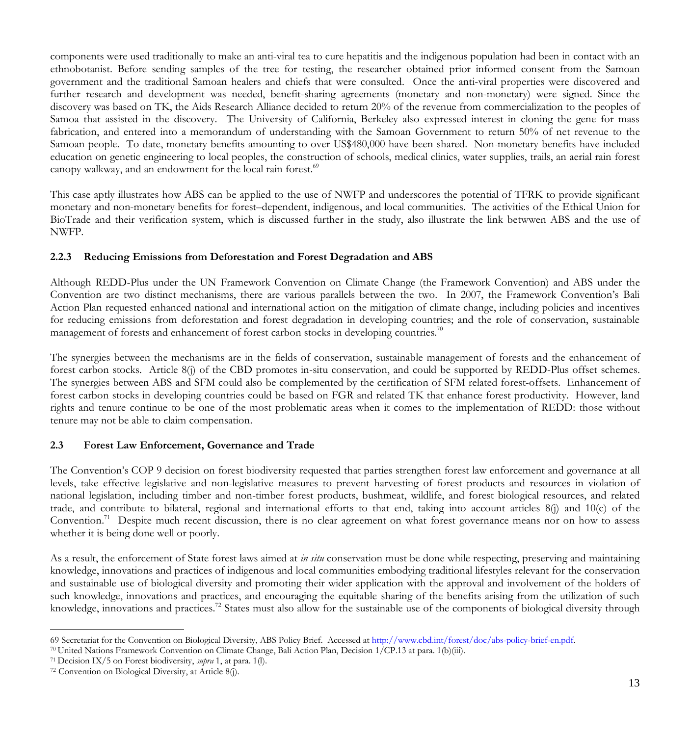components were used traditionally to make an anti-viral tea to cure hepatitis and the indigenous population had been in contact with an ethnobotanist. Before sending samples of the tree for testing, the researcher obtained prior informed consent from the Samoan government and the traditional Samoan healers and chiefs that were consulted. Once the anti-viral properties were discovered and further research and development was needed, benefit-sharing agreements (monetary and non-monetary) were signed. Since the discovery was based on TK, the Aids Research Alliance decided to return 20% of the revenue from commercialization to the peoples of Samoa that assisted in the discovery. The University of California, Berkeley also expressed interest in cloning the gene for mass fabrication, and entered into a memorandum of understanding with the Samoan Government to return 50% of net revenue to the Samoan people. To date, monetary benefits amounting to over US\$480,000 have been shared. Non-monetary benefits have included education on genetic engineering to local peoples, the construction of schools, medical clinics, water supplies, trails, an aerial rain forest canopy walkway, and an endowment for the local rain forest.<sup>69</sup>

This case aptly illustrates how ABS can be applied to the use of NWFP and underscores the potential of TFRK to provide significant monetary and non-monetary benefits for forest–dependent, indigenous, and local communities. The activities of the Ethical Union for BioTrade and their verification system, which is discussed further in the study, also illustrate the link betwwen ABS and the use of NWFP.

## **2.2.3 Reducing Emissions from Deforestation and Forest Degradation and ABS**

Although REDD-Plus under the UN Framework Convention on Climate Change (the Framework Convention) and ABS under the Convention are two distinct mechanisms, there are various parallels between the two. In 2007, the Framework Convention's Bali Action Plan requested enhanced national and international action on the mitigation of climate change, including policies and incentives for reducing emissions from deforestation and forest degradation in developing countries; and the role of conservation, sustainable management of forests and enhancement of forest carbon stocks in developing countries.<sup>70</sup>

The synergies between the mechanisms are in the fields of conservation, sustainable management of forests and the enhancement of forest carbon stocks. Article 8(j) of the CBD promotes in-situ conservation, and could be supported by REDD-Plus offset schemes. The synergies between ABS and SFM could also be complemented by the certification of SFM related forest-offsets. Enhancement of forest carbon stocks in developing countries could be based on FGR and related TK that enhance forest productivity. However, land rights and tenure continue to be one of the most problematic areas when it comes to the implementation of REDD: those without tenure may not be able to claim compensation.

# **2.3 Forest Law Enforcement, Governance and Trade**

The Convention's COP 9 decision on forest biodiversity requested that parties strengthen forest law enforcement and governance at all levels, take effective legislative and non-legislative measures to prevent harvesting of forest products and resources in violation of national legislation, including timber and non-timber forest products, bushmeat, wildlife, and forest biological resources, and related trade, and contribute to bilateral, regional and international efforts to that end, taking into account articles 8(j) and 10(c) of the Convention.<sup>71</sup> Despite much recent discussion, there is no clear agreement on what forest governance means nor on how to assess whether it is being done well or poorly.

As a result, the enforcement of State forest laws aimed at *in situ* conservation must be done while respecting, preserving and maintaining knowledge, innovations and practices of indigenous and local communities embodying traditional lifestyles relevant for the conservation and sustainable use of biological diversity and promoting their wider application with the approval and involvement of the holders of such knowledge, innovations and practices, and encouraging the equitable sharing of the benefits arising from the utilization of such knowledge, innovations and practices.<sup>72</sup> States must also allow for the sustainable use of the components of biological diversity through

<sup>69</sup> Secretariat for the Convention on Biological Diversity, ABS Policy Brief. Accessed at http://www.cbd.int/forest/doc/abs-policy-brief-en.pdf.

<sup>70</sup> United Nations Framework Convention on Climate Change, Bali Action Plan, Decision 1/CP.13 at para. 1(b)(iii).

<sup>71</sup> Decision IX/5 on Forest biodiversity, *supra* 1, at para. 1(l).

<sup>72</sup> Convention on Biological Diversity, at Article 8(j).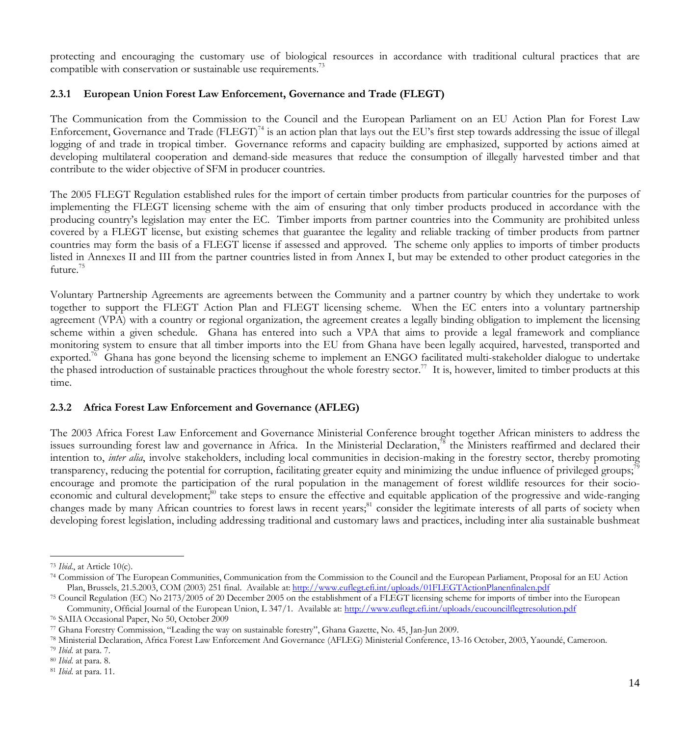protecting and encouraging the customary use of biological resources in accordance with traditional cultural practices that are compatible with conservation or sustainable use requirements.<sup>73</sup>

### **2.3.1 European Union Forest Law Enforcement, Governance and Trade (FLEGT)**

The Communication from the Commission to the Council and the European Parliament on an EU Action Plan for Forest Law Enforcement, Governance and Trade (FLEGT)<sup>74</sup> is an action plan that lays out the EU's first step towards addressing the issue of illegal logging of and trade in tropical timber. Governance reforms and capacity building are emphasized, supported by actions aimed at developing multilateral cooperation and demand-side measures that reduce the consumption of illegally harvested timber and that contribute to the wider objective of SFM in producer countries.

The 2005 FLEGT Regulation established rules for the import of certain timber products from particular countries for the purposes of implementing the FLEGT licensing scheme with the aim of ensuring that only timber products produced in accordance with the producing country's legislation may enter the EC. Timber imports from partner countries into the Community are prohibited unless covered by a FLEGT license, but existing schemes that guarantee the legality and reliable tracking of timber products from partner countries may form the basis of a FLEGT license if assessed and approved. The scheme only applies to imports of timber products listed in Annexes II and III from the partner countries listed in from Annex I, but may be extended to other product categories in the future.<sup>75</sup>

Voluntary Partnership Agreements are agreements between the Community and a partner country by which they undertake to work together to support the FLEGT Action Plan and FLEGT licensing scheme. When the EC enters into a voluntary partnership agreement (VPA) with a country or regional organization, the agreement creates a legally binding obligation to implement the licensing scheme within a given schedule. Ghana has entered into such a VPA that aims to provide a legal framework and compliance monitoring system to ensure that all timber imports into the EU from Ghana have been legally acquired, harvested, transported and exported.<sup>76</sup> Ghana has gone beyond the licensing scheme to implement an ENGO facilitated multi-stakeholder dialogue to undertake the phased introduction of sustainable practices throughout the whole forestry sector.<sup>77</sup> It is, however, limited to timber products at this time.

### **2.3.2 Africa Forest Law Enforcement and Governance (AFLEG)**

The 2003 Africa Forest Law Enforcement and Governance Ministerial Conference brought together African ministers to address the issues surrounding forest law and governance in Africa. In the Ministerial Declaration,<sup>78</sup> the Ministers reaffirmed and declared their intention to, *inter alia*, involve stakeholders, including local communities in decision-making in the forestry sector, thereby promoting transparency, reducing the potential for corruption, facilitating greater equity and minimizing the undue influence of privileged groups;79 encourage and promote the participation of the rural population in the management of forest wildlife resources for their socioeconomic and cultural development;<sup>80</sup> take steps to ensure the effective and equitable application of the progressive and wide-ranging changes made by many African countries to forest laws in recent years;<sup>81</sup> consider the legitimate interests of all parts of society when developing forest legislation, including addressing traditional and customary laws and practices, including inter alia sustainable bushmeat

 <sup>73</sup> *Ibid*., at Article 10(c).

<sup>74</sup> Commission of The European Communities, Communication from the Commission to the Council and the European Parliament, Proposal for an EU Action Plan, Brussels, 21.5.2003, COM (2003) 251 final. Available at: http://www.euflegt.efi.int/uploads/01FLEGTActionPlanenfinalen.pdf

<sup>75</sup> Council Regulation (EC) No 2173/2005 of 20 December 2005 on the establishment of a FLEGT licensing scheme for imports of timber into the European Community, Official Journal of the European Union, L 347/1. Available at: http://www.euflegt.efi.int/uploads/eucouncilflegtresolution.pdf

<sup>76</sup> SAIIA Occasional Paper, No 50, October 2009

<sup>77</sup> Ghana Forestry Commission, "Leading the way on sustainable forestry", Ghana Gazette, No. 45, Jan-Jun 2009.

<sup>78</sup> Ministerial Declaration, Africa Forest Law Enforcement And Governance (AFLEG) Ministerial Conference, 13-16 October, 2003, Yaoundé, Cameroon.

<sup>79</sup> *Ibid*. at para. 7.

<sup>80</sup> *Ibid*. at para. 8.

<sup>81</sup> *Ibid*. at para. 11.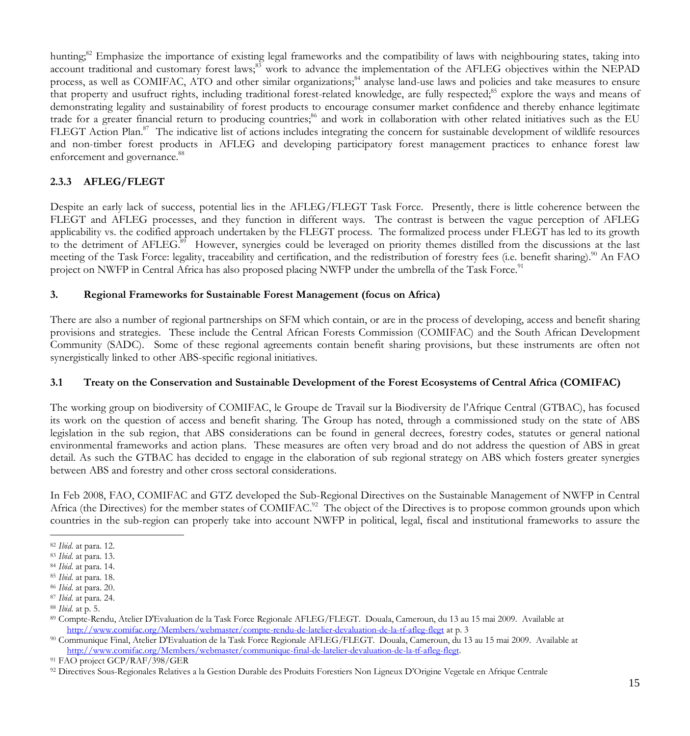hunting;<sup>82</sup> Emphasize the importance of existing legal frameworks and the compatibility of laws with neighbouring states, taking into account traditional and customary forest laws;<sup>83</sup> work to advance the implementation of the AFLEG objectives within the NEPAD process, as well as COMIFAC, ATO and other similar organizations;<sup>84</sup> analyse land-use laws and policies and take measures to ensure that property and usufruct rights, including traditional forest-related knowledge, are fully respected;<sup>85</sup> explore the ways and means of demonstrating legality and sustainability of forest products to encourage consumer market confidence and thereby enhance legitimate trade for a greater financial return to producing countries;<sup>86</sup> and work in collaboration with other related initiatives such as the EU FLEGT Action Plan.<sup>87</sup> The indicative list of actions includes integrating the concern for sustainable development of wildlife resources and non-timber forest products in AFLEG and developing participatory forest management practices to enhance forest law enforcement and governance.<sup>88</sup>

# **2.3.3 AFLEG/FLEGT**

Despite an early lack of success, potential lies in the AFLEG/FLEGT Task Force. Presently, there is little coherence between the FLEGT and AFLEG processes, and they function in different ways. The contrast is between the vague perception of AFLEG applicability vs. the codified approach undertaken by the FLEGT process. The formalized process under FLEGT has led to its growth to the detriment of AFLEG.<sup>89</sup> However, synergies could be leveraged on priority themes distilled from the discussions at the last meeting of the Task Force: legality, traceability and certification, and the redistribution of forestry fees (i.e. benefit sharing).<sup>90</sup> An FAO project on NWFP in Central Africa has also proposed placing NWFP under the umbrella of the Task Force.<sup>91</sup>

## **3. Regional Frameworks for Sustainable Forest Management (focus on Africa)**

There are also a number of regional partnerships on SFM which contain, or are in the process of developing, access and benefit sharing provisions and strategies. These include the Central African Forests Commission (COMIFAC) and the South African Development Community (SADC). Some of these regional agreements contain benefit sharing provisions, but these instruments are often not synergistically linked to other ABS-specific regional initiatives.

# **3.1 Treaty on the Conservation and Sustainable Development of the Forest Ecosystems of Central Africa (COMIFAC)**

The working group on biodiversity of COMIFAC, le Groupe de Travail sur la Biodiversity de l'Afrique Central (GTBAC), has focused its work on the question of access and benefit sharing. The Group has noted, through a commissioned study on the state of ABS legislation in the sub region, that ABS considerations can be found in general decrees, forestry codes, statutes or general national environmental frameworks and action plans. These measures are often very broad and do not address the question of ABS in great detail. As such the GTBAC has decided to engage in the elaboration of sub regional strategy on ABS which fosters greater synergies between ABS and forestry and other cross sectoral considerations.

In Feb 2008, FAO, COMIFAC and GTZ developed the Sub-Regional Directives on the Sustainable Management of NWFP in Central Africa (the Directives) for the member states of COMIFAC.<sup>92</sup> The object of the Directives is to propose common grounds upon which countries in the sub-region can properly take into account NWFP in political, legal, fiscal and institutional frameworks to assure the

 <sup>82</sup> *Ibid*. at para. 12.

<sup>83</sup> *Ibid*. at para. 13.

<sup>84</sup> *Ibid*. at para. 14.

<sup>85</sup> *Ibid*. at para. 18.

<sup>86</sup> *Ibid*. at para. 20.

<sup>87</sup> *Ibid*. at para. 24.

<sup>88</sup> *Ibid*. at p. 5.

<sup>89</sup> Compte-Rendu, Atelier D'Evaluation de la Task Force Regionale AFLEG/FLEGT. Douala, Cameroun, du 13 au 15 mai 2009. Available at http://www.comifac.org/Members/webmaster/compte-rendu-de-latelier-devaluation-de-la-tf-afleg-flegt at p. 3

<sup>90</sup> Communique Final, Atelier D'Evaluation de la Task Force Regionale AFLEG/FLEGT. Douala, Cameroun, du 13 au 15 mai 2009. Available at http://www.comifac.org/Members/webmaster/communique-final-de-latelier-devaluation-de-la-tf-afleg-flegt.

<sup>91</sup> FAO project GCP/RAF/398/GER

<sup>92</sup> Directives Sous-Regionales Relatives a la Gestion Durable des Produits Forestiers Non Ligneux D'Origine Vegetale en Afrique Centrale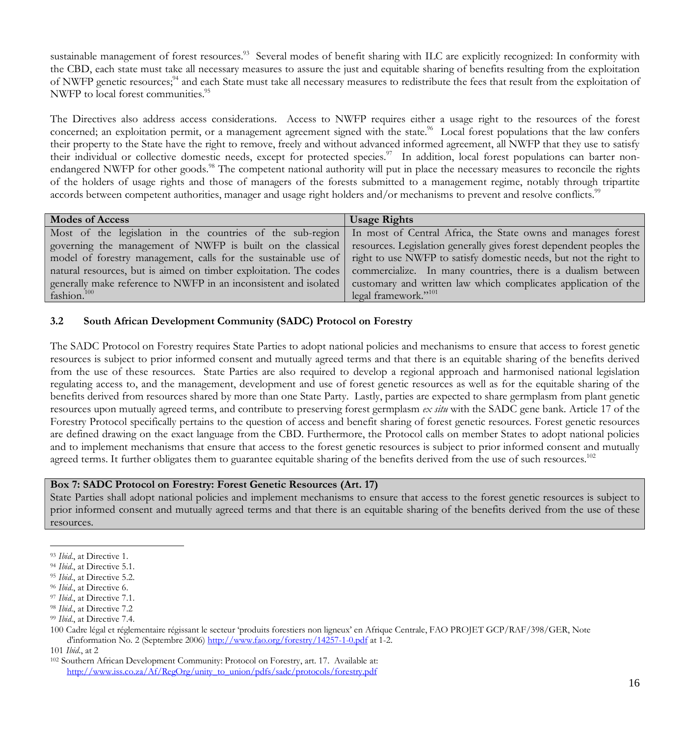sustainable management of forest resources.<sup>93</sup> Several modes of benefit sharing with ILC are explicitly recognized: In conformity with the CBD, each state must take all necessary measures to assure the just and equitable sharing of benefits resulting from the exploitation of NWFP genetic resources;<sup>94</sup> and each State must take all necessary measures to redistribute the fees that result from the exploitation of NWFP to local forest communities.<sup>95</sup>

The Directives also address access considerations. Access to NWFP requires either a usage right to the resources of the forest concerned; an exploitation permit, or a management agreement signed with the state.<sup>96</sup> Local forest populations that the law confers their property to the State have the right to remove, freely and without advanced informed agreement, all NWFP that they use to satisfy their individual or collective domestic needs, except for protected species.<sup>97</sup> In addition, local forest populations can barter nonendangered NWFP for other goods.<sup>98</sup> The competent national authority will put in place the necessary measures to reconcile the rights of the holders of usage rights and those of managers of the forests submitted to a management regime, notably through tripartite accords between competent authorities, manager and usage right holders and/or mechanisms to prevent and resolve conflicts.<sup>99</sup>

| <b>Modes of Access</b>                                            | <b>Usage Rights</b>                                                                                                     |
|-------------------------------------------------------------------|-------------------------------------------------------------------------------------------------------------------------|
|                                                                   | Most of the legislation in the countries of the sub-region In most of Central Africa, the State owns and manages forest |
| governing the management of NWFP is built on the classical        | resources. Legislation generally gives forest dependent peoples the                                                     |
| model of forestry management, calls for the sustainable use of    | right to use NWFP to satisfy domestic needs, but not the right to                                                       |
| natural resources, but is aimed on timber exploitation. The codes | commercialize. In many countries, there is a dualism between                                                            |
| generally make reference to NWFP in an inconsistent and isolated  | customary and written law which complicates application of the                                                          |
| fashion. <sup>100</sup>                                           | legal framework." <sup>101</sup>                                                                                        |

## **3.2 South African Development Community (SADC) Protocol on Forestry**

The SADC Protocol on Forestry requires State Parties to adopt national policies and mechanisms to ensure that access to forest genetic resources is subject to prior informed consent and mutually agreed terms and that there is an equitable sharing of the benefits derived from the use of these resources. State Parties are also required to develop a regional approach and harmonised national legislation regulating access to, and the management, development and use of forest genetic resources as well as for the equitable sharing of the benefits derived from resources shared by more than one State Party. Lastly, parties are expected to share germplasm from plant genetic resources upon mutually agreed terms, and contribute to preserving forest germplasm *ex situ* with the SADC gene bank. Article 17 of the Forestry Protocol specifically pertains to the question of access and benefit sharing of forest genetic resources. Forest genetic resources are defined drawing on the exact language from the CBD. Furthermore, the Protocol calls on member States to adopt national policies and to implement mechanisms that ensure that access to the forest genetic resources is subject to prior informed consent and mutually agreed terms. It further obligates them to guarantee equitable sharing of the benefits derived from the use of such resources.<sup>102</sup>

### **Box 7: SADC Protocol on Forestry: Forest Genetic Resources (Art. 17)**

State Parties shall adopt national policies and implement mechanisms to ensure that access to the forest genetic resources is subject to prior informed consent and mutually agreed terms and that there is an equitable sharing of the benefits derived from the use of these resources.

101 *Ibid*., at 2

 <sup>93</sup> *Ibid*., at Directive 1.

<sup>94</sup> *Ibid*., at Directive 5.1.

<sup>&</sup>lt;sup>95</sup> *Ibid.*, at Directive 5.2.

<sup>96</sup> *Ibid*., at Directive 6.

<sup>97</sup> *Ibid*., at Directive 7.1.

<sup>98</sup> *Ibid*., at Directive 7.2

<sup>99</sup> *Ibid*., at Directive 7.4.

<sup>100</sup> Cadre légal et réglementaire régissant le secteur 'produits forestiers non ligneux' en Afrique Centrale, FAO PROJET GCP/RAF/398/GER, Note d'information No. 2 (Septembre 2006) http://www.fao.org/forestry/14257-1-0.pdf at 1-2.

<sup>102</sup> Southern African Development Community: Protocol on Forestry, art. 17. Available at: http://www.iss.co.za/Af/RegOrg/unity\_to\_union/pdfs/sadc/protocols/forestry.pdf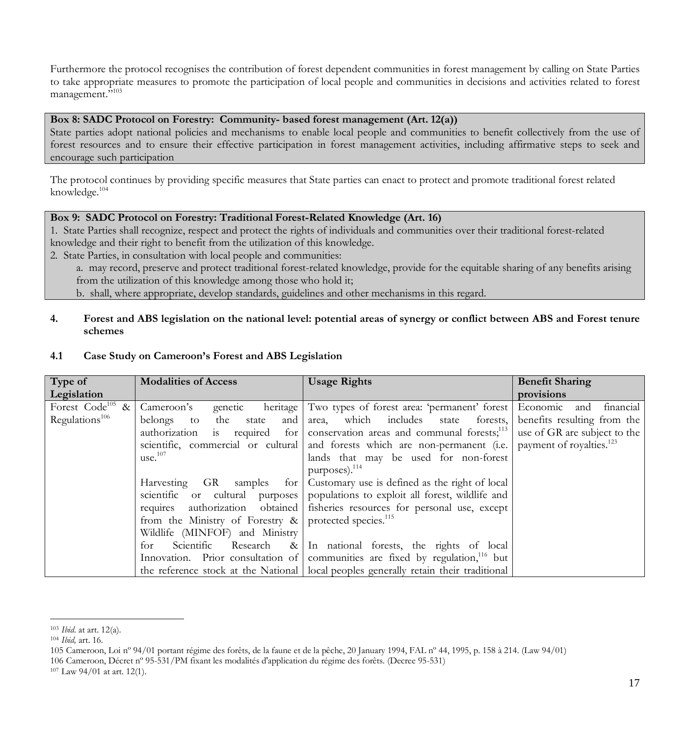Furthermore the protocol recognises the contribution of forest dependent communities in forest management by calling on State Parties to take appropriate measures to promote the participation of local people and communities in decisions and activities related to forest management."<sup>103</sup>

#### **Box 8: SADC Protocol on Forestry: Community- based forest management (Art. 12(a))**

State parties adopt national policies and mechanisms to enable local people and communities to benefit collectively from the use of forest resources and to ensure their effective participation in forest management activities, including affirmative steps to seek and encourage such participation

The protocol continues by providing specific measures that State parties can enact to protect and promote traditional forest related knowledge.104

### **Box 9: SADC Protocol on Forestry: Traditional Forest-Related Knowledge (Art. 16)**

1. State Parties shall recognize, respect and protect the rights of individuals and communities over their traditional forest-related knowledge and their right to benefit from the utilization of this knowledge.

2. State Parties, in consultation with local people and communities:

a. may record, preserve and protect traditional forest-related knowledge, provide for the equitable sharing of any benefits arising from the utilization of this knowledge among those who hold it;

b. shall, where appropriate, develop standards, guidelines and other mechanisms in this regard.

## **4. Forest and ABS legislation on the national level: potential areas of synergy or conflict between ABS and Forest tenure schemes**

| Type of                      | <b>Modalities of Access</b>       | <b>Usage Rights</b>                                                                                                        | <b>Benefit Sharing</b> |
|------------------------------|-----------------------------------|----------------------------------------------------------------------------------------------------------------------------|------------------------|
| Legislation                  |                                   |                                                                                                                            | provisions             |
| Forest Code <sup>105</sup> & | Cameroon's<br>genetic<br>heritage | Two types of forest area: 'permanent' forest Economic                                                                      | financial<br>and       |
| Regulations <sup>106</sup>   | the state<br>belongs to<br>and    | area, which includes state forests, benefits resulting from the                                                            |                        |
|                              |                                   | authorization is required for $\vert$ conservation areas and communal forests; <sup>113</sup> use of GR are subject to the |                        |
|                              |                                   | scientific, commercial or cultural and forests which are non-permanent (i.e. payment of royalties. <sup>123</sup>          |                        |
|                              | use. <sup>107</sup>               | lands that may be used for non-forest                                                                                      |                        |
|                              |                                   | purposes). $^{114}$                                                                                                        |                        |
|                              | Harvesting GR<br>samples for      | Customary use is defined as the right of local                                                                             |                        |
|                              | scientific or cultural purposes   | populations to exploit all forest, wildlife and                                                                            |                        |
|                              | requires authorization obtained   | fisheries resources for personal use, except                                                                               |                        |
|                              | from the Ministry of Forestry &   | protected species. <sup>115</sup>                                                                                          |                        |
|                              | Wildlife (MINFOF) and Ministry    |                                                                                                                            |                        |
|                              | Scientific Research &<br>for      | In national forests, the rights of local                                                                                   |                        |
|                              |                                   | Innovation. Prior consultation of communities are fixed by regulation, $16$ but                                            |                        |
|                              |                                   | the reference stock at the National   local peoples generally retain their traditional                                     |                        |

#### **4.1 Case Study on Cameroon's Forest and ABS Legislation**

 <sup>103</sup> *Ibid*. at art. 12(a).

<sup>104</sup> *Ibid,* art. 16.

<sup>105</sup> Cameroon, Loi nº 94/01 portant régime des forêts, de la faune et de la pêche, 20 January 1994, FAL nº 44, 1995, p. 158 à 214. (Law 94/01)

<sup>106</sup> Cameroon, Décret nº 95-531/PM fixant les modalités d'application du régime des forêts. (Decree 95-531)

<sup>107</sup> Law 94/01 at art. 12(1).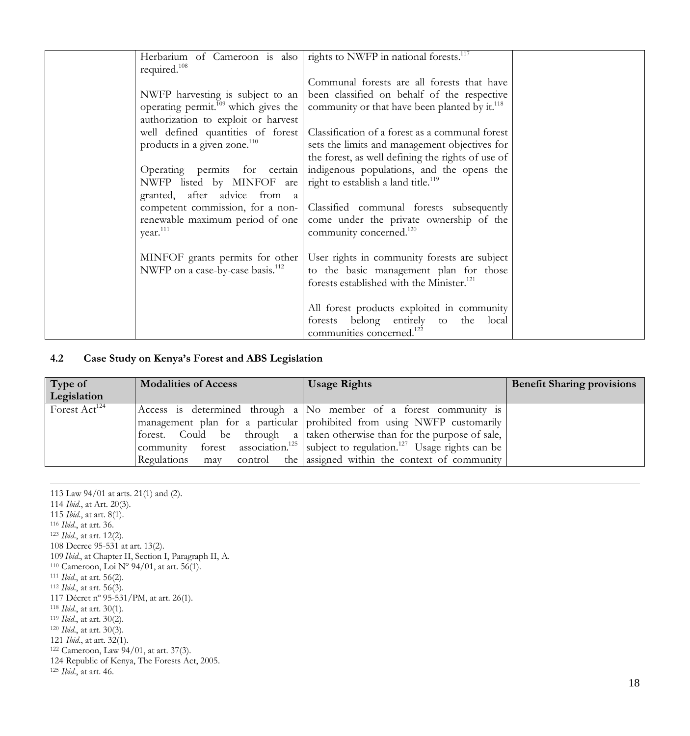| Herbarium of Cameroon is also                           | rights to NWFP in national forests. <sup>117</sup>                             |  |
|---------------------------------------------------------|--------------------------------------------------------------------------------|--|
| required. <sup>108</sup>                                |                                                                                |  |
|                                                         | Communal forests are all forests that have                                     |  |
| NWFP harvesting is subject to an                        | been classified on behalf of the respective                                    |  |
| operating permit. <sup>109</sup> which gives the        | community or that have been planted by it. <sup>118</sup>                      |  |
| authorization to exploit or harvest                     |                                                                                |  |
| well defined quantities of forest                       | Classification of a forest as a communal forest                                |  |
| products in a given zone. <sup>110</sup>                | sets the limits and management objectives for                                  |  |
|                                                         | the forest, as well defining the rights of use of                              |  |
| Operating permits for certain                           | indigenous populations, and the opens the                                      |  |
| NWFP listed by MINFOF are                               | right to establish a land title. <sup>119</sup>                                |  |
| granted, after advice from a                            |                                                                                |  |
| competent commission, for a non-                        | Classified communal forests subsequently                                       |  |
| renewable maximum period of one<br>year. <sup>111</sup> | come under the private ownership of the<br>community concerned. <sup>120</sup> |  |
|                                                         |                                                                                |  |
| MINFOF grants permits for other                         | User rights in community forests are subject                                   |  |
| NWFP on a case-by-case basis. <sup>112</sup>            | to the basic management plan for those                                         |  |
|                                                         | forests established with the Minister. <sup>121</sup>                          |  |
|                                                         |                                                                                |  |
|                                                         | All forest products exploited in community                                     |  |
|                                                         | forests belong entirely to the local                                           |  |
|                                                         | communities concerned. <sup>122</sup>                                          |  |

#### **4.2 Case Study on Kenya's Forest and ABS Legislation**

| Type of<br>Legislation    | <b>Modalities of Access</b> | <b>Usage Rights</b>                                                                                                                                                                                                                                                                                                                                                                                    | <b>Benefit Sharing provisions</b> |
|---------------------------|-----------------------------|--------------------------------------------------------------------------------------------------------------------------------------------------------------------------------------------------------------------------------------------------------------------------------------------------------------------------------------------------------------------------------------------------------|-----------------------------------|
| Forest Act <sup>124</sup> | Regulations<br>may          | Access is determined through a $\overline{N}$ member of a forest community is<br>management plan for a particular prohibited from using NWFP customarily<br>forest. Could be through a taken otherwise than for the purpose of sale,<br>community forest association. <sup>125</sup> subject to regulation. <sup>127</sup> Usage rights can be<br>control the assigned within the context of community |                                   |

 Law 94/01 at arts. 21(1) and (2). *Ibid*., at Art. 20(3). *Ibid*., at art. 8(1). *Ibid*., at art. 36. *Ibid*., at art. 12(2). Decree 95-531 at art. 13(2). *Ibid*., at Chapter II, Section I, Paragraph II, A. Cameroon, Loi N° 94/01, at art. 56(1). *Ibid*., at art. 56(2). *Ibid*., at art. 56(3). Décret nº 95-531/PM, at art. 26(1). *Ibid*., at art. 30(1). *Ibid*., at art. 30(2). *Ibid*., at art. 30(3). *Ibid*., at art. 32(1). Cameroon, Law 94/01, at art. 37(3). Republic of Kenya, The Forests Act, 2005. *Ibid*., at art. 46.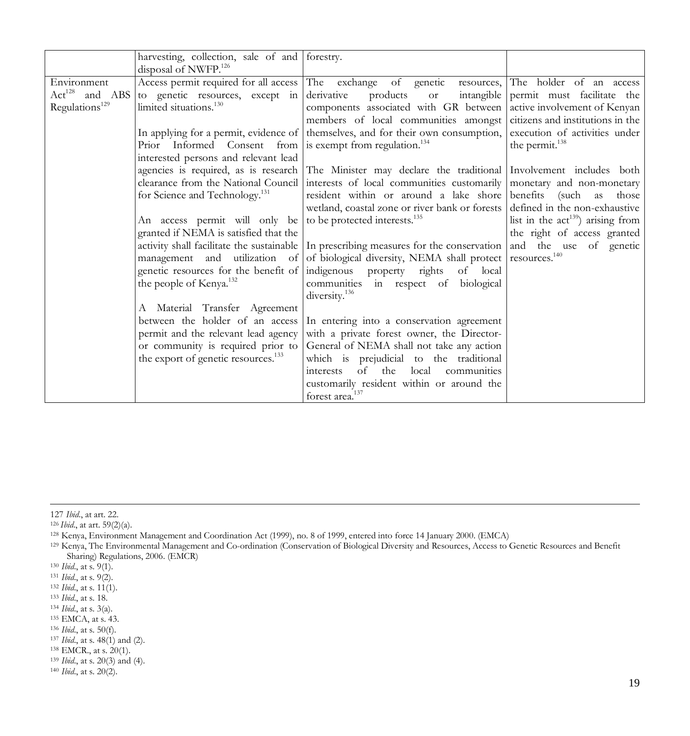|                            | harvesting, collection, sale of and forestry.                           |                                                                                                               |                                             |
|----------------------------|-------------------------------------------------------------------------|---------------------------------------------------------------------------------------------------------------|---------------------------------------------|
|                            | disposal of NWFP. <sup>126</sup>                                        |                                                                                                               |                                             |
| Environment                |                                                                         | Access permit required for all access The exchange of genetic resources, The holder of an access              |                                             |
| $Act^{128}$ and ABS        | to genetic resources, except in derivative                              | products<br>or compared to the control.                                                                       | intangible permit must facilitate the       |
| Regulations <sup>129</sup> | limited situations. <sup>130</sup>                                      | components associated with GR between active involvement of Kenyan                                            |                                             |
|                            |                                                                         | members of local communities amongst citizens and institutions in the                                         |                                             |
|                            |                                                                         | In applying for a permit, evidence of themselves, and for their own consumption,                              | execution of activities under               |
|                            | Prior Informed Consent from   is exempt from regulation. <sup>134</sup> |                                                                                                               | the permit. <sup>138</sup>                  |
|                            | interested persons and relevant lead                                    |                                                                                                               |                                             |
|                            |                                                                         | agencies is required, as is research The Minister may declare the traditional Involvement includes both       |                                             |
|                            |                                                                         | clearance from the National Council   interests of local communities customarily                              | monetary and non-monetary                   |
|                            | for Science and Technology. <sup>131</sup>                              | resident within or around a lake shore benefits (such as                                                      | those                                       |
|                            |                                                                         | wetland, coastal zone or river bank or forests defined in the non-exhaustive                                  |                                             |
|                            | An access permit will only be                                           | to be protected interests. <sup>135</sup>                                                                     | list in the $\text{act}^{139}$ arising from |
|                            | granted if NEMA is satisfied that the                                   |                                                                                                               | the right of access granted                 |
|                            |                                                                         | activity shall facilitate the sustainable In prescribing measures for the conservation and the use of genetic |                                             |
|                            |                                                                         | management and utilization of of biological diversity, NEMA shall protect resources. <sup>140</sup>           |                                             |
|                            | genetic resources for the benefit of indigenous property rights         | of local                                                                                                      |                                             |
|                            | the people of Kenya. <sup>132</sup>                                     | communities in respect of biological                                                                          |                                             |
|                            |                                                                         | diversity. <sup>136</sup>                                                                                     |                                             |
|                            | A Material Transfer Agreement                                           |                                                                                                               |                                             |
|                            | between the holder of an access                                         | In entering into a conservation agreement                                                                     |                                             |
|                            | permit and the relevant lead agency                                     | with a private forest owner, the Director-                                                                    |                                             |
|                            | or community is required prior to                                       | General of NEMA shall not take any action                                                                     |                                             |
|                            | the export of genetic resources. <sup>133</sup>                         | which is prejudicial to the traditional                                                                       |                                             |
|                            |                                                                         | of the<br>local<br>communities<br>interests                                                                   |                                             |
|                            |                                                                         | customarily resident within or around the                                                                     |                                             |
|                            |                                                                         | forest area. <sup>137</sup>                                                                                   |                                             |

 <sup>127</sup> *Ibid*., at art. 22.

<sup>126</sup> *Ibid*., at art. 59(2)(a).

<sup>128</sup> Kenya, Environment Management and Coordination Act (1999), no. 8 of 1999, entered into force 14 January 2000. (EMCA)

<sup>129</sup> Kenya, The Environmental Management and Co-ordination (Conservation of Biological Diversity and Resources, Access to Genetic Resources and Benefit Sharing) Regulations, 2006. (EMCR)

<sup>130</sup> *Ibid*., at s. 9(1).

<sup>&</sup>lt;sup>131</sup> *Ibid.*, at s. 9(2).<br><sup>132</sup> *Ibid.*, at s. 11(1).

<sup>&</sup>lt;sup>133</sup> *Ibid.*, at s. 18.

<sup>134</sup> *Ibid*., at s. 3(a).

<sup>135</sup> EMCA, at s. 43.

<sup>136</sup> *Ibid*., at s. 50(f).

<sup>137</sup> *Ibid*., at s. 48(1) and (2).

<sup>138</sup> EMCR., at s. 20(1).

<sup>139</sup> *Ibid*., at s. 20(3) and (4). <sup>140</sup> *Ibid*., at s. 20(2).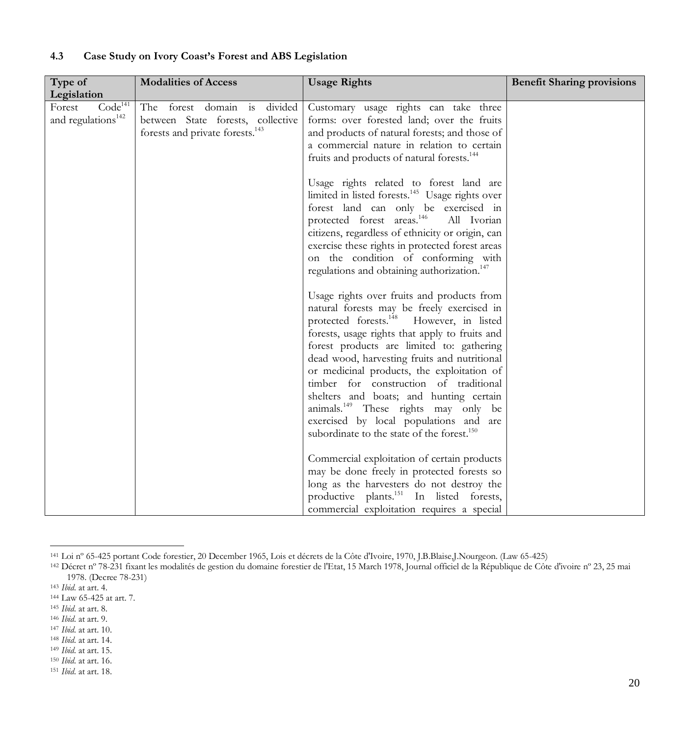| Type of<br>Legislation                                          | <b>Modalities of Access</b>                                                                                      | <b>Usage Rights</b>                                                                                                                                                                                                                                                                                                                                                                                                                                                                                                                                                                                                                                                                                                                                                                                                                                                                                                 | <b>Benefit Sharing provisions</b> |
|-----------------------------------------------------------------|------------------------------------------------------------------------------------------------------------------|---------------------------------------------------------------------------------------------------------------------------------------------------------------------------------------------------------------------------------------------------------------------------------------------------------------------------------------------------------------------------------------------------------------------------------------------------------------------------------------------------------------------------------------------------------------------------------------------------------------------------------------------------------------------------------------------------------------------------------------------------------------------------------------------------------------------------------------------------------------------------------------------------------------------|-----------------------------------|
| Code <sup>141</sup><br>Forest<br>and regulations <sup>142</sup> | The forest domain is divided<br>between State forests, collective<br>forests and private forests. <sup>143</sup> | Customary usage rights can take three<br>forms: over forested land; over the fruits<br>and products of natural forests; and those of<br>a commercial nature in relation to certain<br>fruits and products of natural forests. <sup>144</sup><br>Usage rights related to forest land are<br>limited in listed forests. <sup>145</sup> Usage rights over<br>forest land can only be exercised in<br>protected forest areas. <sup>146</sup><br>All Ivorian<br>citizens, regardless of ethnicity or origin, can<br>exercise these rights in protected forest areas<br>on the condition of conforming with<br>regulations and obtaining authorization. <sup>147</sup><br>Usage rights over fruits and products from<br>natural forests may be freely exercised in<br>protected forests. <sup>148</sup> However, in listed<br>forests, usage rights that apply to fruits and<br>forest products are limited to: gathering |                                   |
|                                                                 |                                                                                                                  | dead wood, harvesting fruits and nutritional<br>or medicinal products, the exploitation of<br>timber for construction of traditional<br>shelters and boats; and hunting certain<br>animals. <sup>149</sup> These rights may only be<br>exercised by local populations and are                                                                                                                                                                                                                                                                                                                                                                                                                                                                                                                                                                                                                                       |                                   |
|                                                                 |                                                                                                                  | subordinate to the state of the forest. <sup>150</sup><br>Commercial exploitation of certain products<br>may be done freely in protected forests so<br>long as the harvesters do not destroy the<br>productive plants. <sup>151</sup> In listed forests,<br>commercial exploitation requires a special                                                                                                                                                                                                                                                                                                                                                                                                                                                                                                                                                                                                              |                                   |

### **4.3 Case Study on Ivory Coast's Forest and ABS Legislation**

 <sup>141</sup> Loi nº 65-425 portant Code forestier, 20 December 1965, Lois et décrets de la Côte d'Ivoire, 1970, J.B.Blaise,J.Nourgeon. (Law 65-425)

<sup>&</sup>lt;sup>142</sup> Décret nº 78-231 fixant les modalités de gestion du domaine forestier de l'Etat, 15 March 1978, Journal officiel de la République de Côte d'ivoire nº 23, 25 mai 1978. (Decree 78-231)

<sup>143</sup> *Ibid*. at art. 4.

<sup>144</sup> Law 65-425 at art. 7.

<sup>145</sup> *Ibid*. at art. 8.

<sup>146</sup> *Ibid*. at art. 9.

<sup>147</sup> *Ibid*. at art. 10.

<sup>148</sup> *Ibid*. at art. 14.

<sup>149</sup> *Ibid*. at art. 15. 150 *Ibid*. at art. 16.

<sup>151</sup> *Ibid*. at art. 18.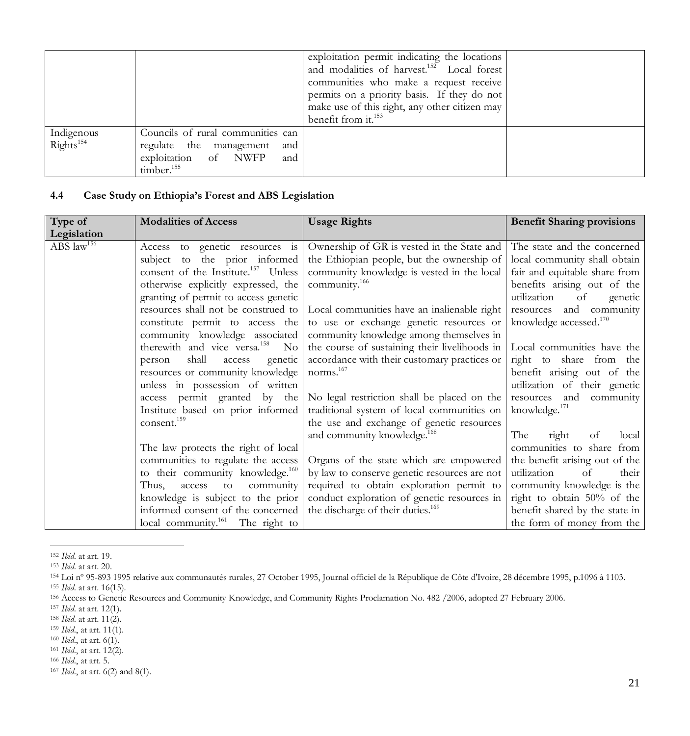|                                     |                                                                                                                              | exploitation permit indicating the locations<br>and modalities of harvest. <sup>152</sup> Local forest<br>communities who make a request receive<br>permits on a priority basis. If they do not<br>make use of this right, any other citizen may<br>benefit from it. <sup>153</sup> |  |
|-------------------------------------|------------------------------------------------------------------------------------------------------------------------------|-------------------------------------------------------------------------------------------------------------------------------------------------------------------------------------------------------------------------------------------------------------------------------------|--|
| Indigenous<br>Rights <sup>154</sup> | Councils of rural communities can<br>regulate the management<br>and<br>exploitation of NWFP<br>and<br>timber. <sup>155</sup> |                                                                                                                                                                                                                                                                                     |  |

# **4.4 Case Study on Ethiopia's Forest and ABS Legislation**

| Type of                           | <b>Modalities of Access</b>                     | <b>Usage Rights</b>                           | <b>Benefit Sharing provisions</b>  |
|-----------------------------------|-------------------------------------------------|-----------------------------------------------|------------------------------------|
| Legislation                       |                                                 |                                               |                                    |
| ABS $\overline{\text{law}}^{156}$ | Access to genetic resources is                  | Ownership of GR is vested in the State and    | The state and the concerned        |
|                                   | subject to the prior informed                   | the Ethiopian people, but the ownership of    | local community shall obtain       |
|                                   | consent of the Institute. <sup>157</sup> Unless | community knowledge is vested in the local    | fair and equitable share from      |
|                                   | otherwise explicitly expressed, the             | community. <sup>166</sup>                     | benefits arising out of the        |
|                                   | granting of permit to access genetic            |                                               | utilization<br>of<br>genetic       |
|                                   | resources shall not be construed to             | Local communities have an inalienable right   | resources and community            |
|                                   | constitute permit to access the                 | to use or exchange genetic resources or       | knowledge accessed. <sup>170</sup> |
|                                   | community knowledge associated                  | community knowledge among themselves in       |                                    |
|                                   | therewith and vice versa. <sup>158</sup> No     | the course of sustaining their livelihoods in | Local communities have the         |
|                                   | shall<br>person<br>genetic<br>access            | accordance with their customary practices or  | right to share from the            |
|                                   | resources or community knowledge                | norms. $167$                                  | benefit arising out of the         |
|                                   | unless in possession of written                 |                                               | utilization of their genetic       |
|                                   | access permit granted by the                    | No legal restriction shall be placed on the   | resources and community            |
|                                   | Institute based on prior informed               | traditional system of local communities on    | knowledge. <sup>171</sup>          |
|                                   | consent. <sup>159</sup>                         | the use and exchange of genetic resources     |                                    |
|                                   |                                                 | and community knowledge. <sup>168</sup>       | The<br>right<br>of<br>local        |
|                                   | The law protects the right of local             |                                               | communities to share from          |
|                                   | communities to regulate the access              | Organs of the state which are empowered       | the benefit arising out of the     |
|                                   | to their community knowledge. <sup>160</sup>    | by law to conserve genetic resources are not  | utilization<br>of<br>their         |
|                                   | access to community<br>Thus,                    | required to obtain exploration permit to      | community knowledge is the         |
|                                   | knowledge is subject to the prior               | conduct exploration of genetic resources in   | right to obtain 50% of the         |
|                                   | informed consent of the concerned               | the discharge of their duties. <sup>169</sup> | benefit shared by the state in     |
|                                   | local community. <sup>161</sup> The right to    |                                               | the form of money from the         |

 <sup>152</sup> *Ibid*. at art. 19.

<sup>153</sup> *Ibid*. at art. 20.

<sup>154</sup> Loi nº 95-893 1995 relative aux communautés rurales, 27 October 1995, Journal officiel de la République de Côte d'Ivoire, 28 décembre 1995, p.1096 à 1103. <sup>155</sup> *Ibid*. at art. 16(15).

<sup>&</sup>lt;sup>156</sup> Access to Genetic Resources and Community Knowledge, and Community Rights Proclamation No. 482 /2006, adopted 27 February 2006.

<sup>157</sup> *Ibid*. at art. 12(1).

<sup>158</sup> *Ibid*. at art. 11(2).

<sup>159</sup> *Ibid*., at art. 11(1).

<sup>160</sup> *Ibid*., at art. 6(1). 161 *Ibid*., at art. 12(2).

<sup>166</sup> *Ibid*., at art. 5.

<sup>167</sup> *Ibid*., at art. 6(2) and 8(1).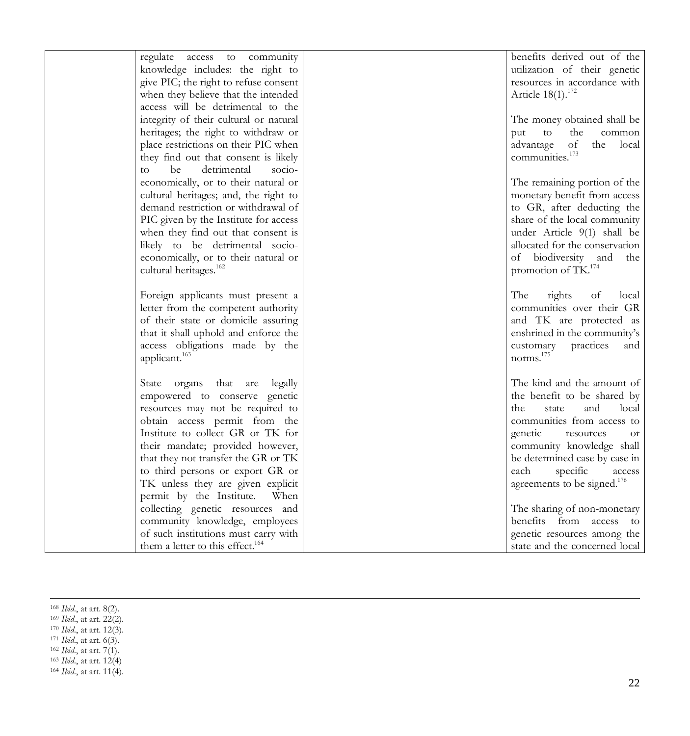| regulate access to community                 |                               | benefits derived out of the             |
|----------------------------------------------|-------------------------------|-----------------------------------------|
| knowledge includes: the right to             |                               | utilization of their genetic            |
| give PIC; the right to refuse consent        |                               | resources in accordance with            |
| when they believe that the intended          | Article 18(1). <sup>172</sup> |                                         |
| access will be detrimental to the            |                               |                                         |
| integrity of their cultural or natural       |                               | The money obtained shall be             |
| heritages; the right to withdraw or          | put                           | to<br>the<br>common                     |
| place restrictions on their PIC when         | advantage of                  | the local                               |
| they find out that consent is likely         | communities. <sup>173</sup>   |                                         |
| be<br>detrimental<br>socio-<br>to            |                               |                                         |
| economically, or to their natural or         |                               | The remaining portion of the            |
| cultural heritages; and, the right to        |                               | monetary benefit from access            |
| demand restriction or withdrawal of          |                               | to GR, after deducting the              |
| PIC given by the Institute for access        |                               | share of the local community            |
| when they find out that consent is           |                               | under Article 9(1) shall be             |
| likely to be detrimental socio-              |                               | allocated for the conservation          |
| economically, or to their natural or         |                               | of biodiversity and the                 |
| cultural heritages. <sup>162</sup>           |                               | promotion of TK. <sup>174</sup>         |
|                                              |                               |                                         |
| Foreign applicants must present a            | The                           | rights<br>of<br>local                   |
| letter from the competent authority          |                               | communities over their GR               |
| of their state or domicile assuring          |                               | and TK are protected as                 |
| that it shall uphold and enforce the         |                               | enshrined in the community's            |
| access obligations made by the               | customary                     | practices<br>and                        |
| applicant. <sup>163</sup>                    | norms. <sup>175</sup>         |                                         |
|                                              |                               |                                         |
| State organs that are<br>legally             |                               | The kind and the amount of              |
| empowered to conserve genetic                |                               | the benefit to be shared by             |
| resources may not be required to             | the                           | state<br>and<br>local                   |
| obtain access permit from the                |                               | communities from access to              |
| Institute to collect GR or TK for            | genetic                       | resources<br><b>or</b>                  |
| their mandate; provided however,             |                               | community knowledge shall               |
| that they not transfer the GR or TK          |                               | be determined case by case in           |
| to third persons or export GR or             | each                          | specific<br>access                      |
| TK unless they are given explicit            |                               | agreements to be signed. <sup>176</sup> |
| permit by the Institute.<br>When             |                               |                                         |
| collecting genetic resources and             |                               | The sharing of non-monetary             |
| community knowledge, employees               |                               | benefits from access to                 |
| of such institutions must carry with         |                               | genetic resources among the             |
| them a letter to this effect. <sup>164</sup> |                               | state and the concerned local           |

 <sup>168</sup> *Ibid*., at art. 8(2).

<sup>169</sup> *Ibid*., at art. 22(2).

<sup>170</sup> *Ibid*., at art. 12(3).

<sup>171</sup> *Ibid*., at art. 6(3).

<sup>162</sup> *Ibid*., at art. 7(1).

<sup>163</sup> *Ibid*., at art. 12(4)

<sup>164</sup> *Ibid*., at art. 11(4).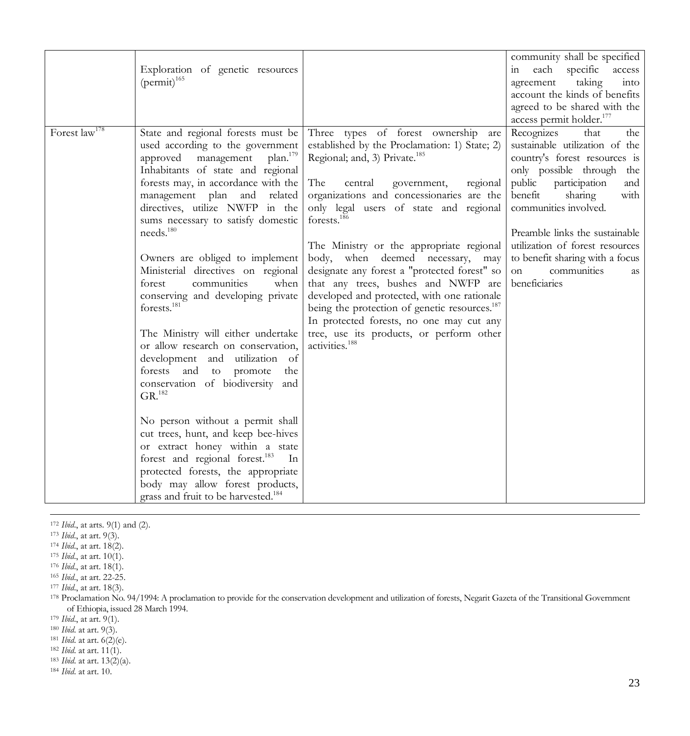|                    | Exploration of genetic resources<br>$(permit)^{165}$                                                                                                                                                                                                                                                                                                                                                                                                                                                                                                                                                                                                                                                                                                                                                                                                                                                                                                                                                                   |                                                                                                                                                                                                                                                                                                                                                                                                                                                                                                                                                                                                                                                                                                                 | community shall be specified<br>each specific<br>access<br>$\overline{m}$<br>taking<br>agreement<br>int <sub>o</sub><br>account the kinds of benefits<br>agreed to be shared with the<br>access permit holder. <sup>177</sup>                                                                                                                                                 |
|--------------------|------------------------------------------------------------------------------------------------------------------------------------------------------------------------------------------------------------------------------------------------------------------------------------------------------------------------------------------------------------------------------------------------------------------------------------------------------------------------------------------------------------------------------------------------------------------------------------------------------------------------------------------------------------------------------------------------------------------------------------------------------------------------------------------------------------------------------------------------------------------------------------------------------------------------------------------------------------------------------------------------------------------------|-----------------------------------------------------------------------------------------------------------------------------------------------------------------------------------------------------------------------------------------------------------------------------------------------------------------------------------------------------------------------------------------------------------------------------------------------------------------------------------------------------------------------------------------------------------------------------------------------------------------------------------------------------------------------------------------------------------------|-------------------------------------------------------------------------------------------------------------------------------------------------------------------------------------------------------------------------------------------------------------------------------------------------------------------------------------------------------------------------------|
| Forest $law^{178}$ | State and regional forests must be<br>used according to the government<br>plan. <sup>179</sup><br>approved management<br>Inhabitants of state and regional<br>forests may, in accordance with the<br>management plan and<br>related<br>directives, utilize NWFP in the<br>sums necessary to satisfy domestic<br>needs. <sup>180</sup><br>Owners are obliged to implement<br>Ministerial directives on regional<br>communities<br>forest<br>when<br>conserving and developing private<br>forests. <sup>181</sup><br>The Ministry will either undertake<br>or allow research on conservation,<br>development and utilization of<br>forests and to promote<br>the<br>conservation of biodiversity and<br>GR. <sup>182</sup><br>No person without a permit shall<br>cut trees, hunt, and keep bee-hives<br>or extract honey within a state<br>forest and regional forest. <sup>183</sup><br>In<br>protected forests, the appropriate<br>body may allow forest products,<br>grass and fruit to be harvested. <sup>184</sup> | Three types of forest ownership<br>are<br>established by the Proclamation: 1) State; 2)<br>Regional; and, 3) Private. <sup>185</sup><br>The<br>central<br>regional<br>government,<br>organizations and concessionaries are the<br>only legal users of state and regional<br>forests. <sup>186</sup><br>The Ministry or the appropriate regional<br>body, when deemed necessary,<br>may<br>designate any forest a "protected forest" so<br>that any trees, bushes and NWFP are<br>developed and protected, with one rationale<br>being the protection of genetic resources. <sup>187</sup><br>In protected forests, no one may cut any<br>tree, use its products, or perform other<br>activities. <sup>188</sup> | Recognizes<br>that<br>the<br>sustainable utilization of the<br>country's forest resources is<br>only possible through the<br>public<br>participation<br>and<br>benefit<br>sharing<br>with<br>communities involved.<br>Preamble links the sustainable<br>utilization of forest resources<br>to benefit sharing with a focus<br>communities<br>on<br><b>as</b><br>beneficiaries |

<sup>&</sup>lt;sup>172</sup> *Ibid.*, at arts. 9(1) and (2).

<sup>173</sup> *Ibid*., at art. 9(3).

<sup>174</sup> *Ibid*., at art. 18(2).

<sup>175</sup> *Ibid*., at art. 10(1).

<sup>176</sup> *Ibid*., at art. 18(1).

<sup>165</sup> *Ibid*., at art. 22-25.

<sup>177</sup> *Ibid*., at art. 18(3).

<sup>&</sup>lt;sup>178</sup> Proclamation No. 94/1994: A proclamation to provide for the conservation development and utilization of forests, Negarit Gazeta of the Transitional Government of Ethiopia, issued 28 March 1994.

<sup>179</sup> *Ibid*., at art. 9(1).

<sup>180</sup> *Ibid*. at art. 9(3).

<sup>181</sup> *Ibid*. at art. 6(2)(e).

<sup>182</sup> *Ibid*. at art. 11(1).

<sup>183</sup> *Ibid*. at art. 13(2)(a).

<sup>184</sup> *Ibid*. at art. 10.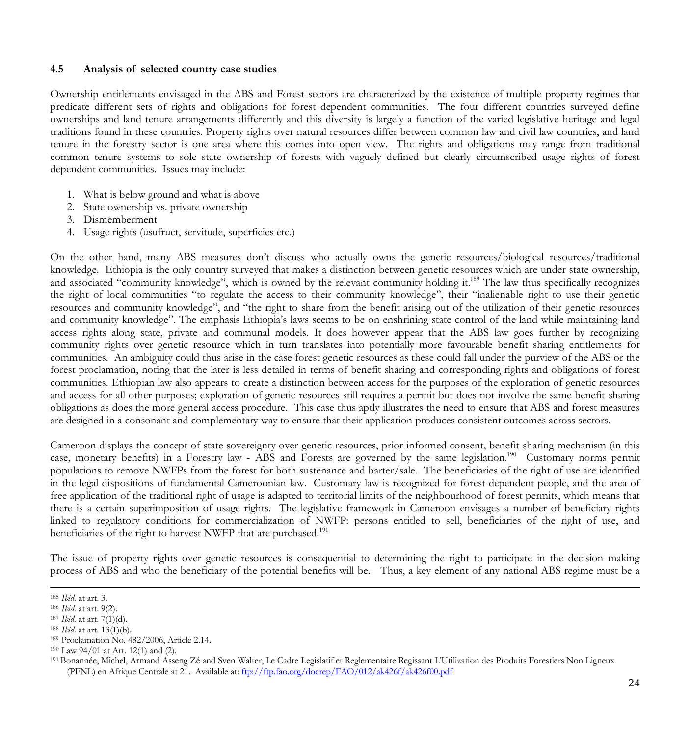#### **4.5 Analysis of selected country case studies**

Ownership entitlements envisaged in the ABS and Forest sectors are characterized by the existence of multiple property regimes that predicate different sets of rights and obligations for forest dependent communities. The four different countries surveyed define ownerships and land tenure arrangements differently and this diversity is largely a function of the varied legislative heritage and legal traditions found in these countries. Property rights over natural resources differ between common law and civil law countries, and land tenure in the forestry sector is one area where this comes into open view. The rights and obligations may range from traditional common tenure systems to sole state ownership of forests with vaguely defined but clearly circumscribed usage rights of forest dependent communities. Issues may include:

- 1. What is below ground and what is above
- 2. State ownership vs. private ownership
- 3. Dismemberment
- 4. Usage rights (usufruct, servitude, superficies etc.)

On the other hand, many ABS measures don't discuss who actually owns the genetic resources/biological resources/traditional knowledge. Ethiopia is the only country surveyed that makes a distinction between genetic resources which are under state ownership, and associated "community knowledge", which is owned by the relevant community holding it.<sup>189</sup> The law thus specifically recognizes the right of local communities "to regulate the access to their community knowledge", their "inalienable right to use their genetic resources and community knowledge", and "the right to share from the benefit arising out of the utilization of their genetic resources and community knowledge". The emphasis Ethiopia's laws seems to be on enshrining state control of the land while maintaining land access rights along state, private and communal models. It does however appear that the ABS law goes further by recognizing community rights over genetic resource which in turn translates into potentially more favourable benefit sharing entitlements for communities. An ambiguity could thus arise in the case forest genetic resources as these could fall under the purview of the ABS or the forest proclamation, noting that the later is less detailed in terms of benefit sharing and corresponding rights and obligations of forest communities. Ethiopian law also appears to create a distinction between access for the purposes of the exploration of genetic resources and access for all other purposes; exploration of genetic resources still requires a permit but does not involve the same benefit-sharing obligations as does the more general access procedure. This case thus aptly illustrates the need to ensure that ABS and forest measures are designed in a consonant and complementary way to ensure that their application produces consistent outcomes across sectors.

Cameroon displays the concept of state sovereignty over genetic resources, prior informed consent, benefit sharing mechanism (in this case, monetary benefits) in a Forestry law - ABS and Forests are governed by the same legislation.<sup>190</sup> Customary norms permit populations to remove NWFPs from the forest for both sustenance and barter/sale. The beneficiaries of the right of use are identified in the legal dispositions of fundamental Cameroonian law. Customary law is recognized for forest-dependent people, and the area of free application of the traditional right of usage is adapted to territorial limits of the neighbourhood of forest permits, which means that there is a certain superimposition of usage rights.The legislative framework in Cameroon envisages a number of beneficiary rights linked to regulatory conditions for commercialization of NWFP: persons entitled to sell, beneficiaries of the right of use, and beneficiaries of the right to harvest NWFP that are purchased.<sup>191</sup>

The issue of property rights over genetic resources is consequential to determining the right to participate in the decision making process of ABS and who the beneficiary of the potential benefits will be. Thus, a key element of any national ABS regime must be a

 <sup>185</sup> *Ibid*. at art. 3.

<sup>186</sup> *Ibid*. at art. 9(2).

<sup>187</sup> *Ibid*. at art. 7(1)(d).

<sup>188</sup> *Ibid*. at art. 13(1)(b).

<sup>189</sup> Proclamation No. 482/2006, Article 2.14.

<sup>190</sup> Law 94/01 at Art. 12(1) and (2).

<sup>191</sup> Bonannée, Michel, Armand Asseng Zé and Sven Walter, Le Cadre Legislatif et Reglementaire Regissant L'Utilization des Produits Forestiers Non Ligneux (PFNL) en Afrique Centrale at 21. Available at: ftp://ftp.fao.org/docrep/FAO/012/ak426f/ak426f00.pdf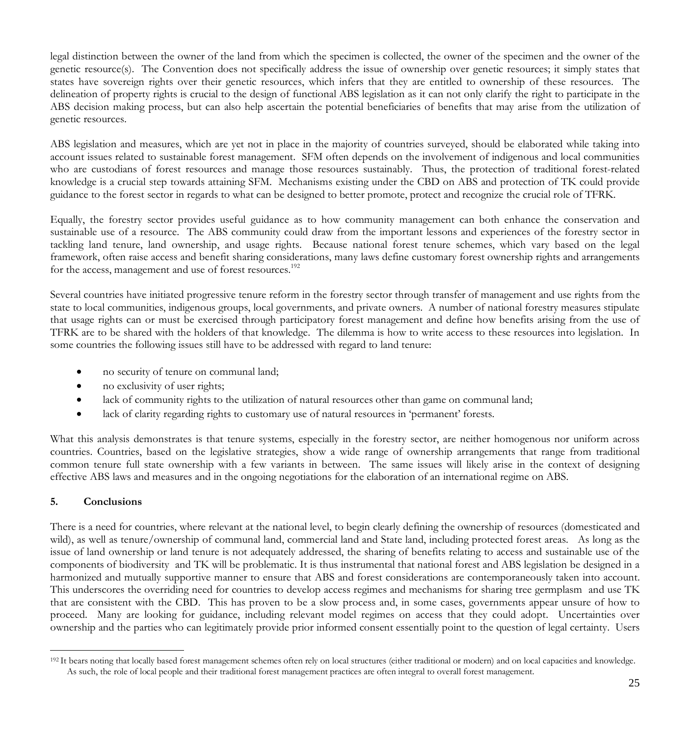legal distinction between the owner of the land from which the specimen is collected, the owner of the specimen and the owner of the genetic resource(s). The Convention does not specifically address the issue of ownership over genetic resources; it simply states that states have sovereign rights over their genetic resources, which infers that they are entitled to ownership of these resources. The delineation of property rights is crucial to the design of functional ABS legislation as it can not only clarify the right to participate in the ABS decision making process, but can also help ascertain the potential beneficiaries of benefits that may arise from the utilization of genetic resources.

ABS legislation and measures, which are yet not in place in the majority of countries surveyed, should be elaborated while taking into account issues related to sustainable forest management. SFM often depends on the involvement of indigenous and local communities who are custodians of forest resources and manage those resources sustainably. Thus, the protection of traditional forest-related knowledge is a crucial step towards attaining SFM. Mechanisms existing under the CBD on ABS and protection of TK could provide guidance to the forest sector in regards to what can be designed to better promote, protect and recognize the crucial role of TFRK.

Equally, the forestry sector provides useful guidance as to how community management can both enhance the conservation and sustainable use of a resource. The ABS community could draw from the important lessons and experiences of the forestry sector in tackling land tenure, land ownership, and usage rights. Because national forest tenure schemes, which vary based on the legal framework, often raise access and benefit sharing considerations, many laws define customary forest ownership rights and arrangements for the access, management and use of forest resources.<sup>192</sup>

Several countries have initiated progressive tenure reform in the forestry sector through transfer of management and use rights from the state to local communities, indigenous groups, local governments, and private owners. A number of national forestry measures stipulate that usage rights can or must be exercised through participatory forest management and define how benefits arising from the use of TFRK are to be shared with the holders of that knowledge. The dilemma is how to write access to these resources into legislation. In some countries the following issues still have to be addressed with regard to land tenure:

- no security of tenure on communal land;
- no exclusivity of user rights;
- lack of community rights to the utilization of natural resources other than game on communal land;
- lack of clarity regarding rights to customary use of natural resources in 'permanent' forests.

What this analysis demonstrates is that tenure systems, especially in the forestry sector, are neither homogenous nor uniform across countries. Countries, based on the legislative strategies, show a wide range of ownership arrangements that range from traditional common tenure full state ownership with a few variants in between. The same issues will likely arise in the context of designing effective ABS laws and measures and in the ongoing negotiations for the elaboration of an international regime on ABS.

# **5. Conclusions**

There is a need for countries, where relevant at the national level, to begin clearly defining the ownership of resources (domesticated and wild), as well as tenure/ownership of communal land, commercial land and State land, including protected forest areas. As long as the issue of land ownership or land tenure is not adequately addressed, the sharing of benefits relating to access and sustainable use of the components of biodiversity and TK will be problematic. It is thus instrumental that national forest and ABS legislation be designed in a harmonized and mutually supportive manner to ensure that ABS and forest considerations are contemporaneously taken into account. This underscores the overriding need for countries to develop access regimes and mechanisms for sharing tree germplasm and use TK that are consistent with the CBD. This has proven to be a slow process and, in some cases, governments appear unsure of how to proceed. Many are looking for guidance, including relevant model regimes on access that they could adopt. Uncertainties over ownership and the parties who can legitimately provide prior informed consent essentially point to the question of legal certainty. Users

<sup>&</sup>lt;sup>192</sup> It bears noting that locally based forest management schemes often rely on local structures (either traditional or modern) and on local capacities and knowledge. As such, the role of local people and their traditional forest management practices are often integral to overall forest management.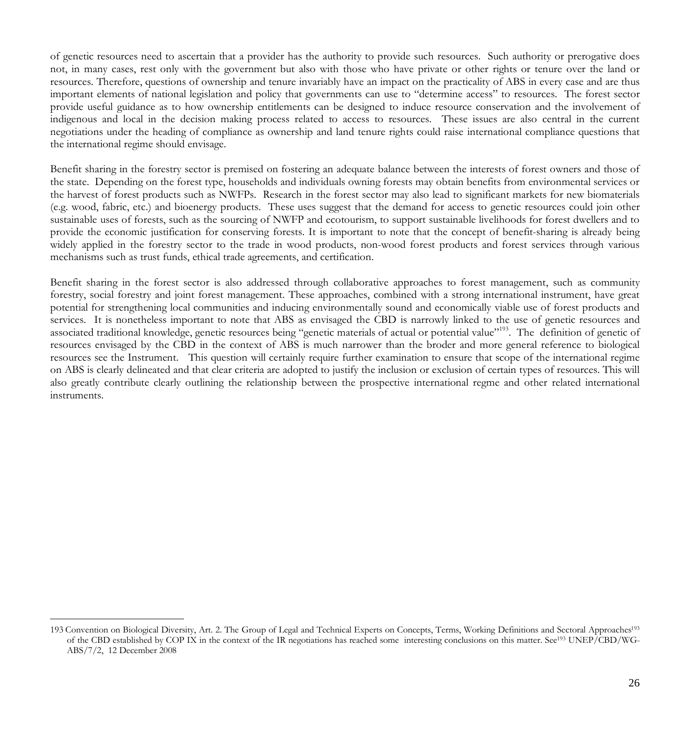of genetic resources need to ascertain that a provider has the authority to provide such resources. Such authority or prerogative does not, in many cases, rest only with the government but also with those who have private or other rights or tenure over the land or resources. Therefore, questions of ownership and tenure invariably have an impact on the practicality of ABS in every case and are thus important elements of national legislation and policy that governments can use to "determine access" to resources. The forest sector provide useful guidance as to how ownership entitlements can be designed to induce resource conservation and the involvement of indigenous and local in the decision making process related to access to resources. These issues are also central in the current negotiations under the heading of compliance as ownership and land tenure rights could raise international compliance questions that the international regime should envisage.

Benefit sharing in the forestry sector is premised on fostering an adequate balance between the interests of forest owners and those of the state. Depending on the forest type, households and individuals owning forests may obtain benefits from environmental services or the harvest of forest products such as NWFPs. Research in the forest sector may also lead to significant markets for new biomaterials (e.g. wood, fabric, etc.) and bioenergy products. These uses suggest that the demand for access to genetic resources could join other sustainable uses of forests, such as the sourcing of NWFP and ecotourism, to support sustainable livelihoods for forest dwellers and to provide the economic justification for conserving forests. It is important to note that the concept of benefit-sharing is already being widely applied in the forestry sector to the trade in wood products, non-wood forest products and forest services through various mechanisms such as trust funds, ethical trade agreements, and certification.

Benefit sharing in the forest sector is also addressed through collaborative approaches to forest management, such as community forestry, social forestry and joint forest management. These approaches, combined with a strong international instrument, have great potential for strengthening local communities and inducing environmentally sound and economically viable use of forest products and services. It is nonetheless important to note that ABS as envisaged the CBD is narrowly linked to the use of genetic resources and associated traditional knowledge, genetic resources being "genetic materials of actual or potential value"<sup>193</sup>. The definition of genetic of resources envisaged by the CBD in the context of ABS is much narrower than the broder and more general reference to biological resources see the Instrument. This question will certainly require further examination to ensure that scope of the international regime on ABS is clearly delineated and that clear criteria are adopted to justify the inclusion or exclusion of certain types of resources. This will also greatly contribute clearly outlining the relationship between the prospective international regme and other related international instruments.

 <sup>193</sup> Convention on Biological Diversity, Art. 2. The Group of Legal and Technical Experts on Concepts, Terms, Working Definitions and Sectoral Approaches193 of the CBD established by COP IX in the context of the IR negotiations has reached some interesting conclusions on this matter. See<sup>193</sup> UNEP/CBD/WG-ABS/7/2, 12 December 2008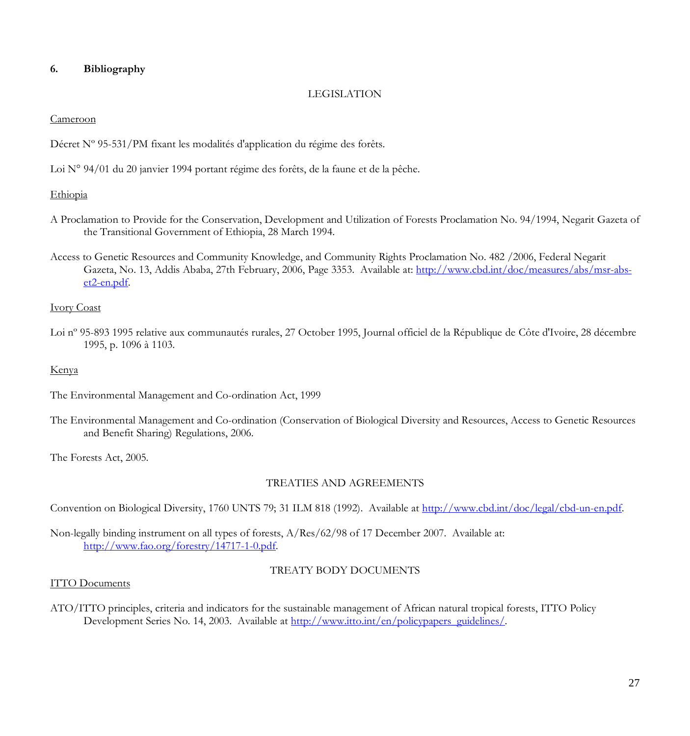# **6. Bibliography**

#### LEGISLATION

#### Cameroon

Décret Nº 95-531/PM fixant les modalités d'application du régime des forêts.

Loi N° 94/01 du 20 janvier 1994 portant régime des forêts, de la faune et de la pêche.

#### Ethiopia

- A Proclamation to Provide for the Conservation, Development and Utilization of Forests Proclamation No. 94/1994, Negarit Gazeta of the Transitional Government of Ethiopia, 28 March 1994.
- Access to Genetic Resources and Community Knowledge, and Community Rights Proclamation No. 482 /2006, Federal Negarit Gazeta, No. 13, Addis Ababa, 27th February, 2006, Page 3353. Available at: http://www.cbd.int/doc/measures/abs/msr-abset2-en.pdf.

#### Ivory Coast

Loi nº 95-893 1995 relative aux communautés rurales, 27 October 1995, Journal officiel de la République de Côte d'Ivoire, 28 décembre 1995, p. 1096 à 1103.

#### Kenya

The Environmental Management and Co-ordination Act, 1999

The Environmental Management and Co-ordination (Conservation of Biological Diversity and Resources, Access to Genetic Resources and Benefit Sharing) Regulations, 2006.

The Forests Act, 2005.

# TREATIES AND AGREEMENTS

Convention on Biological Diversity, 1760 UNTS 79; 31 ILM 818 (1992). Available at http://www.cbd.int/doc/legal/cbd-un-en.pdf.

Non-legally binding instrument on all types of forests, A/Res/62/98 of 17 December 2007. Available at: http://www.fao.org/forestry/14717-1-0.pdf.

### TREATY BODY DOCUMENTS

#### ITTO Documents

ATO/ITTO principles, criteria and indicators for the sustainable management of African natural tropical forests, ITTO Policy Development Series No. 14, 2003. Available at http://www.itto.int/en/policypapers\_guidelines/.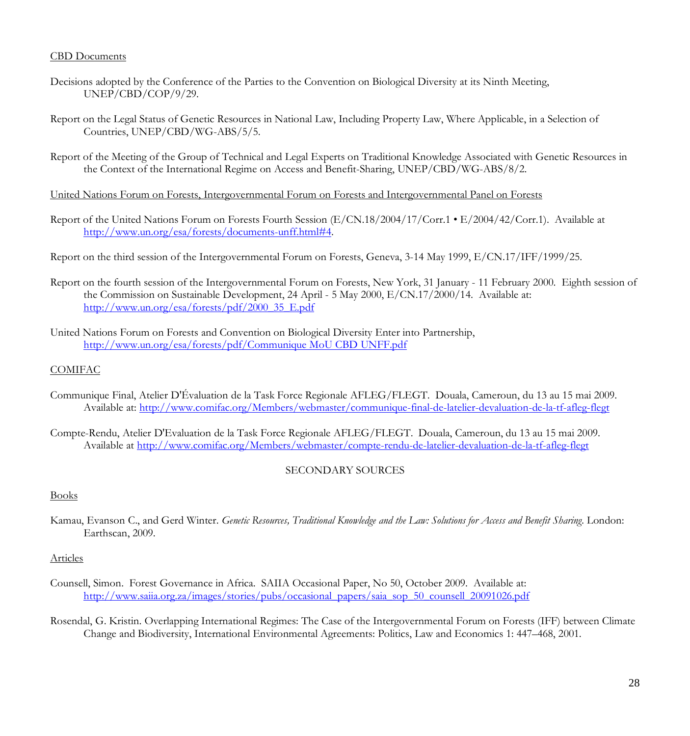#### CBD Documents

- Decisions adopted by the Conference of the Parties to the Convention on Biological Diversity at its Ninth Meeting, UNEP/CBD/COP/9/29.
- Report on the Legal Status of Genetic Resources in National Law, Including Property Law, Where Applicable, in a Selection of Countries, UNEP/CBD/WG-ABS/5/5.
- Report of the Meeting of the Group of Technical and Legal Experts on Traditional Knowledge Associated with Genetic Resources in the Context of the International Regime on Access and Benefit-Sharing, UNEP/CBD/WG-ABS/8/2.
- United Nations Forum on Forests, Intergovernmental Forum on Forests and Intergovernmental Panel on Forests
- Report of the United Nations Forum on Forests Fourth Session (E/CN.18/2004/17/Corr.1 E/2004/42/Corr.1). Available at http://www.un.org/esa/forests/documents-unff.html#4.
- Report on the third session of the Intergovernmental Forum on Forests, Geneva, 3-14 May 1999, E/CN.17/IFF/1999/25.
- Report on the fourth session of the Intergovernmental Forum on Forests, New York, 31 January 11 February 2000. Eighth session of the Commission on Sustainable Development, 24 April - 5 May 2000, E/CN.17/2000/14. Available at: http://www.un.org/esa/forests/pdf/2000\_35\_E.pdf
- United Nations Forum on Forests and Convention on Biological Diversity Enter into Partnership, http://www.un.org/esa/forests/pdf/Communique MoU CBD UNFF.pdf

#### COMIFAC

- Communique Final, Atelier D'Évaluation de la Task Force Regionale AFLEG/FLEGT. Douala, Cameroun, du 13 au 15 mai 2009. Available at: http://www.comifac.org/Members/webmaster/communique-final-de-latelier-devaluation-de-la-tf-afleg-flegt
- Compte-Rendu, Atelier D'Evaluation de la Task Force Regionale AFLEG/FLEGT. Douala, Cameroun, du 13 au 15 mai 2009. Available at http://www.comifac.org/Members/webmaster/compte-rendu-de-latelier-devaluation-de-la-tf-afleg-flegt

### SECONDARY SOURCES

#### Books

Kamau, Evanson C., and Gerd Winter. *Genetic Resources, Traditional Knowledge and the Law: Solutions for Access and Benefit Sharing*. London: Earthscan, 2009.

#### Articles

- Counsell, Simon. Forest Governance in Africa. SAIIA Occasional Paper, No 50, October 2009. Available at: http://www.saiia.org.za/images/stories/pubs/occasional\_papers/saia\_sop\_50\_counsell\_20091026.pdf
- Rosendal, G. Kristin. Overlapping International Regimes: The Case of the Intergovernmental Forum on Forests (IFF) between Climate Change and Biodiversity, International Environmental Agreements: Politics, Law and Economics 1: 447–468, 2001.